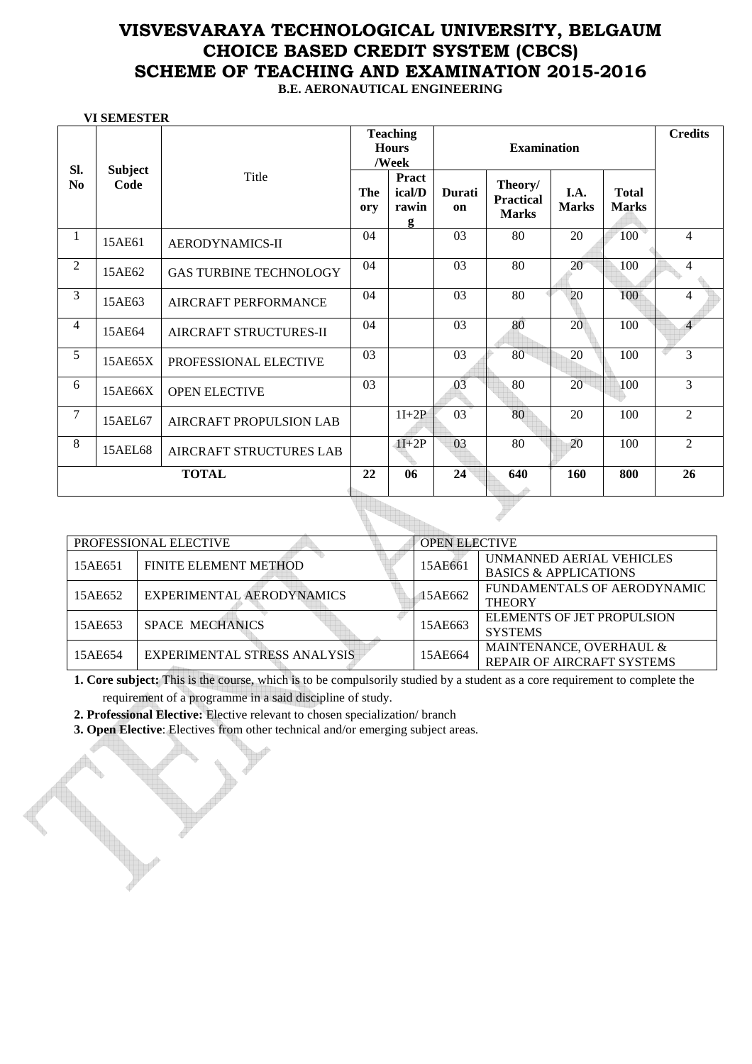## **VISVESVARAYA TECHNOLOGICAL UNIVERSITY, BELGAUM CHOICE BASED CREDIT SYSTEM (CBCS) SCHEME OF TEACHING AND EXAMINATION 2015-2016 B.E. AERONAUTICAL ENGINEERING**

 **VI SEMESTER** 

|                       |                        |                               |                   | <b>Teaching</b><br><b>Hours</b><br>/Week | <b>Examination</b> |                                             |                      | <b>Credits</b>               |                |
|-----------------------|------------------------|-------------------------------|-------------------|------------------------------------------|--------------------|---------------------------------------------|----------------------|------------------------------|----------------|
| Sl.<br>N <sub>0</sub> | <b>Subject</b><br>Code | Title                         | <b>The</b><br>ory | Pract<br>ical/D<br>rawin<br>g            | Durati<br>on       | Theory/<br><b>Practical</b><br><b>Marks</b> | I.A.<br><b>Marks</b> | <b>Total</b><br><b>Marks</b> |                |
| 1                     | 15AE61                 | AERODYNAMICS-II               | 04                |                                          | 03                 | 80                                          | 20                   | 100                          | $\overline{4}$ |
| $\overline{c}$        | 15AE62                 | <b>GAS TURBINE TECHNOLOGY</b> | 04                |                                          | 03                 | 80                                          | 20                   | 100                          | $\overline{4}$ |
| 3                     | 15AE63                 | AIRCRAFT PERFORMANCE          | 04                |                                          | 03                 | 80                                          | 20                   | 100                          | $\overline{4}$ |
| 4                     | 15AE64                 | AIRCRAFT STRUCTURES-II        | 04                |                                          | 03                 | 80                                          | 20                   | 100                          | $\overline{4}$ |
| 5                     | 15AE65X                | PROFESSIONAL ELECTIVE         | 03                |                                          | 03                 | 80                                          | 20                   | 100                          | 3              |
| 6                     | 15AE66X                | <b>OPEN ELECTIVE</b>          | 03                |                                          | 03                 | 80                                          | 20                   | 100                          | $\overline{3}$ |
| 7                     | 15AEL67                | AIRCRAFT PROPULSION LAB       |                   | $1I+2P$                                  | $\overline{03}$    | 80                                          | 20                   | 100                          | $\overline{2}$ |
| 8                     | 15AEL68                | AIRCRAFT STRUCTURES LAB       |                   | $1I+2P$                                  | 03                 | 80                                          | 20                   | 100                          | $\mathfrak{D}$ |
|                       |                        | <b>TOTAL</b>                  | 22                | 06                                       | 24                 | 640                                         | 160                  | 800                          | 26             |

|         | PROFESSIONAL ELECTIVE        | <b>OPEN ELECTIVE</b> |                                                              |
|---------|------------------------------|----------------------|--------------------------------------------------------------|
| 15AE651 | FINITE ELEMENT METHOD        | 15AE661              | UNMANNED AERIAL VEHICLES<br><b>BASICS &amp; APPLICATIONS</b> |
| 15AE652 | EXPERIMENTAL AERODYNAMICS    | 15AE662              | FUNDAMENTALS OF AERODYNAMIC<br><b>THEORY</b>                 |
| 15AE653 | <b>SPACE MECHANICS</b>       | 15AE663              | ELEMENTS OF JET PROPULSION<br><b>SYSTEMS</b>                 |
| 15AE654 | EXPERIMENTAL STRESS ANALYSIS | 15AE664              | MAINTENANCE, OVERHAUL &<br><b>REPAIR OF AIRCRAFT SYSTEMS</b> |

**1. Core subject:** This is the course, which is to be compulsorily studied by a student as a core requirement to complete the requirement of a programme in a said discipline of study.

**2. Professional Elective:** Elective relevant to chosen specialization/ branch

**3. Open Elective**: Electives from other technical and/or emerging subject areas.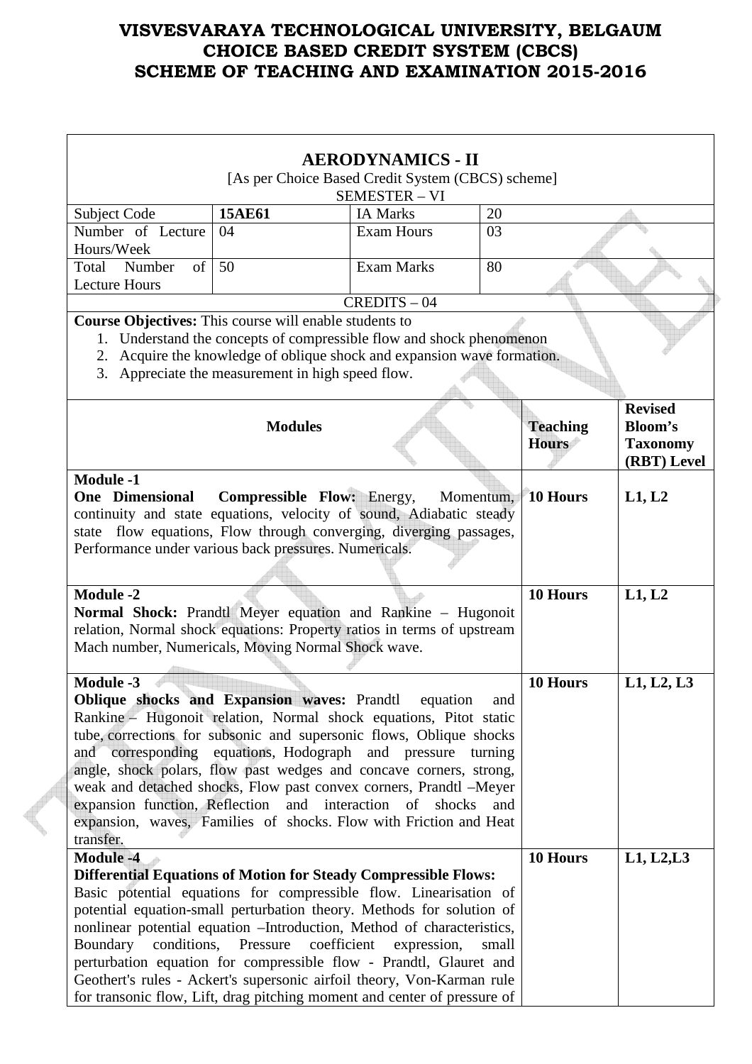|                                                                                                                                            |                                                                                                                        | <b>AERODYNAMICS - II</b> |           |                 |                 |  |  |
|--------------------------------------------------------------------------------------------------------------------------------------------|------------------------------------------------------------------------------------------------------------------------|--------------------------|-----------|-----------------|-----------------|--|--|
|                                                                                                                                            |                                                                                                                        |                          |           |                 |                 |  |  |
| [As per Choice Based Credit System (CBCS) scheme]<br><b>SEMESTER - VI</b>                                                                  |                                                                                                                        |                          |           |                 |                 |  |  |
| Subject Code                                                                                                                               | 15AE61                                                                                                                 | <b>IA Marks</b>          | 20        |                 |                 |  |  |
| Number of Lecture                                                                                                                          | 04                                                                                                                     | <b>Exam Hours</b>        | 03        |                 |                 |  |  |
| Hours/Week                                                                                                                                 |                                                                                                                        |                          |           |                 |                 |  |  |
| $\sigma$<br>Total<br>Number                                                                                                                | 50                                                                                                                     | <b>Exam Marks</b>        | 80        |                 |                 |  |  |
| <b>Lecture Hours</b>                                                                                                                       |                                                                                                                        |                          |           |                 |                 |  |  |
|                                                                                                                                            |                                                                                                                        | $CREDITS - 04$           |           |                 |                 |  |  |
| <b>Course Objectives:</b> This course will enable students to                                                                              |                                                                                                                        |                          |           |                 |                 |  |  |
|                                                                                                                                            | 1. Understand the concepts of compressible flow and shock phenomenon                                                   |                          |           |                 |                 |  |  |
| 2.<br>3.                                                                                                                                   | Acquire the knowledge of oblique shock and expansion wave formation.<br>Appreciate the measurement in high speed flow. |                          |           |                 |                 |  |  |
|                                                                                                                                            |                                                                                                                        |                          |           |                 |                 |  |  |
|                                                                                                                                            |                                                                                                                        |                          |           |                 | <b>Revised</b>  |  |  |
|                                                                                                                                            | <b>Modules</b>                                                                                                         |                          |           | <b>Teaching</b> | <b>Bloom's</b>  |  |  |
|                                                                                                                                            |                                                                                                                        |                          |           | <b>Hours</b>    | <b>Taxonomy</b> |  |  |
|                                                                                                                                            |                                                                                                                        |                          |           |                 | (RBT) Level     |  |  |
| <b>Module -1</b>                                                                                                                           |                                                                                                                        |                          |           |                 |                 |  |  |
| <b>One</b> Dimensional                                                                                                                     | <b>Compressible Flow: Energy,</b>                                                                                      |                          | Momentum, | <b>10 Hours</b> | L1, L2          |  |  |
| continuity and state equations, velocity of sound, Adiabatic steady                                                                        |                                                                                                                        |                          |           |                 |                 |  |  |
| state flow equations, Flow through converging, diverging passages,                                                                         |                                                                                                                        |                          |           |                 |                 |  |  |
| Performance under various back pressures. Numericals.                                                                                      |                                                                                                                        |                          |           |                 |                 |  |  |
|                                                                                                                                            |                                                                                                                        |                          |           |                 |                 |  |  |
| <b>Module -2</b>                                                                                                                           |                                                                                                                        |                          |           | 10 Hours        | L1, L2          |  |  |
| Normal Shock: Prandtl Meyer equation and Rankine – Hugonoit                                                                                |                                                                                                                        |                          |           |                 |                 |  |  |
| relation, Normal shock equations: Property ratios in terms of upstream                                                                     |                                                                                                                        |                          |           |                 |                 |  |  |
| Mach number, Numericals, Moving Normal Shock wave.                                                                                         |                                                                                                                        |                          |           |                 |                 |  |  |
|                                                                                                                                            |                                                                                                                        |                          |           |                 |                 |  |  |
| <b>Module -3</b>                                                                                                                           |                                                                                                                        |                          |           | 10 Hours        | L1, L2, L3      |  |  |
| Oblique shocks and Expansion waves: Prandtl equation                                                                                       |                                                                                                                        |                          | and       |                 |                 |  |  |
| Rankine – Hugonoit relation, Normal shock equations, Pitot static                                                                          |                                                                                                                        |                          |           |                 |                 |  |  |
| tube, corrections for subsonic and supersonic flows, Oblique shocks                                                                        |                                                                                                                        |                          |           |                 |                 |  |  |
| and corresponding equations, Hodograph and pressure                                                                                        |                                                                                                                        |                          | turning   |                 |                 |  |  |
| angle, shock polars, flow past wedges and concave corners, strong,                                                                         |                                                                                                                        |                          |           |                 |                 |  |  |
| weak and detached shocks, Flow past convex corners, Prandtl -Meyer                                                                         |                                                                                                                        |                          |           |                 |                 |  |  |
| expansion function, Reflection                                                                                                             | and interaction                                                                                                        | of<br>shocks             | and       |                 |                 |  |  |
| expansion, waves, Families of shocks. Flow with Friction and Heat                                                                          |                                                                                                                        |                          |           |                 |                 |  |  |
| transfer.                                                                                                                                  |                                                                                                                        |                          |           |                 |                 |  |  |
| <b>Module -4</b>                                                                                                                           |                                                                                                                        |                          |           | 10 Hours        | L1, L2, L3      |  |  |
| <b>Differential Equations of Motion for Steady Compressible Flows:</b>                                                                     |                                                                                                                        |                          |           |                 |                 |  |  |
| Basic potential equations for compressible flow. Linearisation of<br>potential equation-small perturbation theory. Methods for solution of |                                                                                                                        |                          |           |                 |                 |  |  |
| nonlinear potential equation --Introduction, Method of characteristics,                                                                    |                                                                                                                        |                          |           |                 |                 |  |  |
| Boundary<br>conditions,                                                                                                                    | Pressure<br>coefficient                                                                                                | expression,              | small     |                 |                 |  |  |
| perturbation equation for compressible flow - Prandtl, Glauret and                                                                         |                                                                                                                        |                          |           |                 |                 |  |  |
| Geothert's rules - Ackert's supersonic airfoil theory, Von-Karman rule                                                                     |                                                                                                                        |                          |           |                 |                 |  |  |
| for transonic flow, Lift, drag pitching moment and center of pressure of                                                                   |                                                                                                                        |                          |           |                 |                 |  |  |

 $\begin{matrix} \begin{matrix} \begin{matrix} \end{matrix} \end{matrix} \end{matrix}$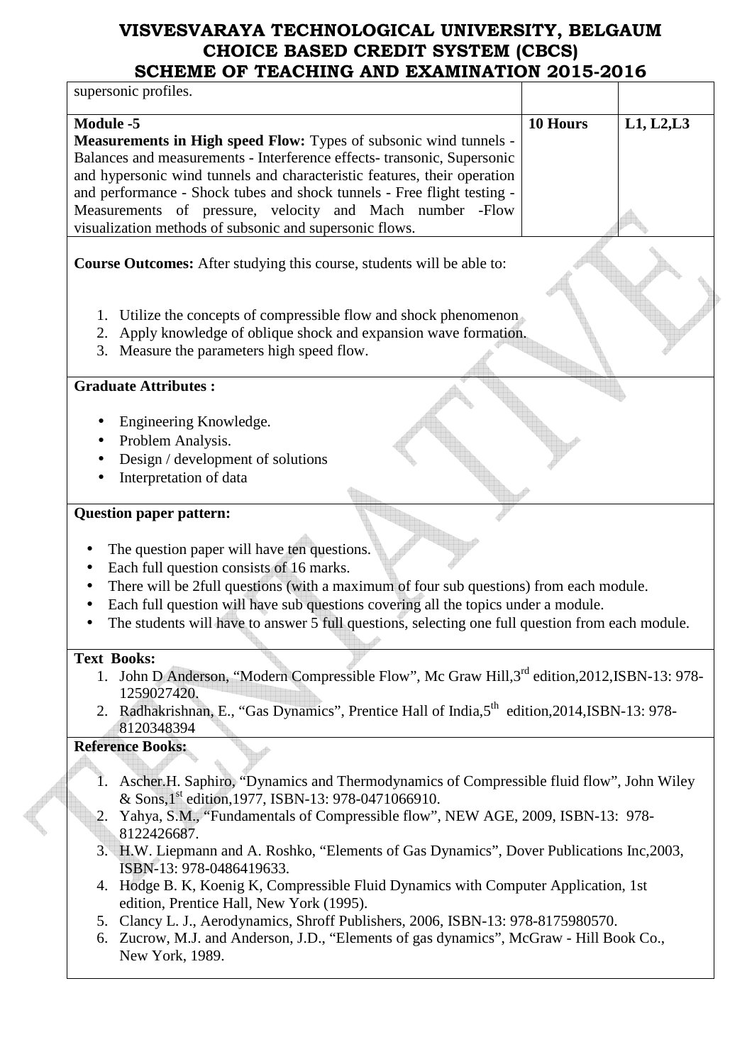| UI TEAUINING AND EXAMI<br>supersonic profiles.                                                                                                                                                                                                                                                                                                                                                                                                 |          |            |
|------------------------------------------------------------------------------------------------------------------------------------------------------------------------------------------------------------------------------------------------------------------------------------------------------------------------------------------------------------------------------------------------------------------------------------------------|----------|------------|
|                                                                                                                                                                                                                                                                                                                                                                                                                                                |          |            |
| Module -5<br><b>Measurements in High speed Flow:</b> Types of subsonic wind tunnels -<br>Balances and measurements - Interference effects- transonic, Supersonic<br>and hypersonic wind tunnels and characteristic features, their operation<br>and performance - Shock tubes and shock tunnels - Free flight testing -<br>Measurements of pressure, velocity and Mach number -Flow<br>visualization methods of subsonic and supersonic flows. | 10 Hours | L1, L2, L3 |
| <b>Course Outcomes:</b> After studying this course, students will be able to:                                                                                                                                                                                                                                                                                                                                                                  |          |            |
| Utilize the concepts of compressible flow and shock phenomenon<br>1.<br>Apply knowledge of oblique shock and expansion wave formation.<br>2.<br>3. Measure the parameters high speed flow.                                                                                                                                                                                                                                                     |          |            |
| <b>Graduate Attributes:</b>                                                                                                                                                                                                                                                                                                                                                                                                                    |          |            |
| Engineering Knowledge.<br>Problem Analysis.<br>Design / development of solutions<br>Interpretation of data                                                                                                                                                                                                                                                                                                                                     |          |            |
| <b>Question paper pattern:</b>                                                                                                                                                                                                                                                                                                                                                                                                                 |          |            |
| The question paper will have ten questions.<br>Each full question consists of 16 marks.<br>There will be 2full questions (with a maximum of four sub questions) from each module.<br>Each full question will have sub questions covering all the topics under a module.<br>The students will have to answer 5 full questions, selecting one full question from each module.                                                                    |          |            |
| <b>Text Books:</b>                                                                                                                                                                                                                                                                                                                                                                                                                             |          |            |
| 1. John D Anderson, "Modern Compressible Flow", Mc Graw Hill, 3 <sup>rd</sup> edition, 2012, ISBN-13: 978-<br>1259027420.<br>2. Radhakrishnan, E., "Gas Dynamics", Prentice Hall of India, 5 <sup>th</sup> edition, 2014, ISBN-13: 978-<br>8120348394                                                                                                                                                                                          |          |            |
| <b>Reference Books:</b>                                                                                                                                                                                                                                                                                                                                                                                                                        |          |            |
| Ascher H. Saphiro, "Dynamics and Thermodynamics of Compressible fluid flow", John Wiley<br>& Sons, 1 <sup>st</sup> edition, 1977, ISBN-13: 978-0471066910.<br>Yahya, S.M., "Fundamentals of Compressible flow", NEW AGE, 2009, ISBN-13: 978-<br>2.<br>8122426687.<br>3. H.W. Liepmann and A. Roshko, "Elements of Gas Dynamics", Dover Publications Inc, 2003,                                                                                 |          |            |
| ISBN-13: 978-0486419633.<br>4. Hodge B. K, Koenig K, Compressible Fluid Dynamics with Computer Application, 1st<br>edition, Prentice Hall, New York (1995).                                                                                                                                                                                                                                                                                    |          |            |

- 5. Clancy L. J., Aerodynamics, Shroff Publishers, 2006, ISBN-13: 978-8175980570.
- 6. Zucrow, M.J. and Anderson, J.D., "Elements of gas dynamics", McGraw Hill Book Co., New York, 1989.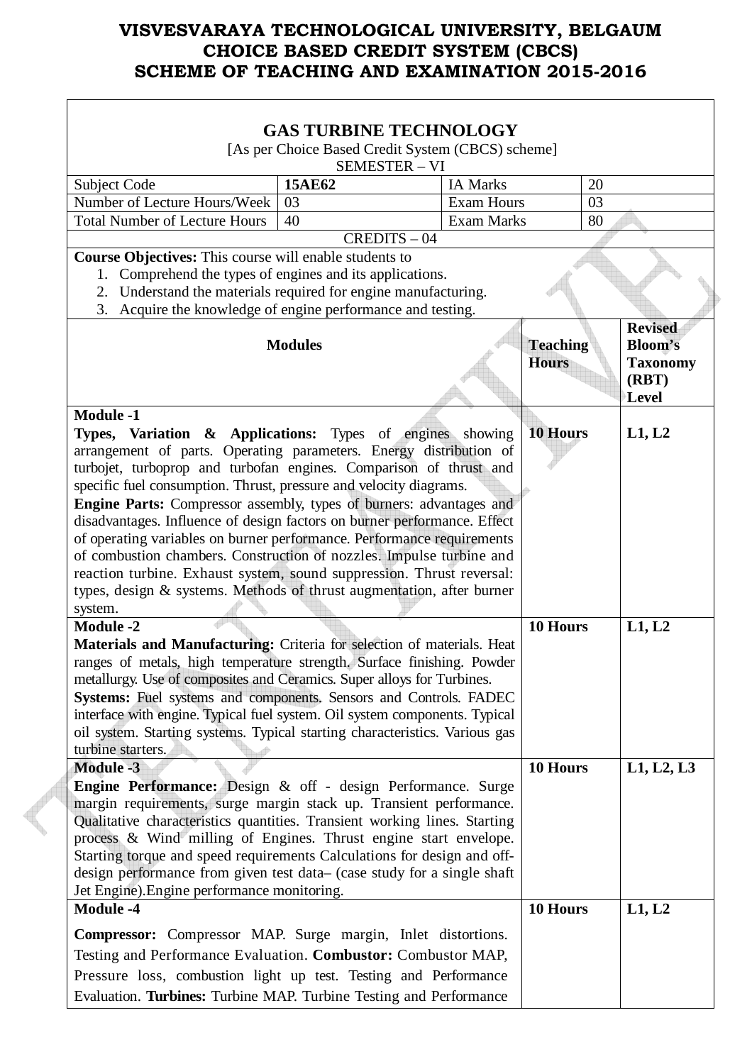| <b>GAS TURBINE TECHNOLOGY</b>                                                                                                                                                                                                                                                                                                                                                                                                                                                                                                                                                                                                                                                                                                                                            |                |                   |                                 |    |                                                                       |  |
|--------------------------------------------------------------------------------------------------------------------------------------------------------------------------------------------------------------------------------------------------------------------------------------------------------------------------------------------------------------------------------------------------------------------------------------------------------------------------------------------------------------------------------------------------------------------------------------------------------------------------------------------------------------------------------------------------------------------------------------------------------------------------|----------------|-------------------|---------------------------------|----|-----------------------------------------------------------------------|--|
| [As per Choice Based Credit System (CBCS) scheme]<br><b>SEMESTER - VI</b>                                                                                                                                                                                                                                                                                                                                                                                                                                                                                                                                                                                                                                                                                                |                |                   |                                 |    |                                                                       |  |
| Subject Code                                                                                                                                                                                                                                                                                                                                                                                                                                                                                                                                                                                                                                                                                                                                                             | 15AE62         | <b>IA Marks</b>   |                                 | 20 |                                                                       |  |
| Number of Lecture Hours/Week                                                                                                                                                                                                                                                                                                                                                                                                                                                                                                                                                                                                                                                                                                                                             | 03             | <b>Exam Hours</b> |                                 | 03 |                                                                       |  |
| <b>Total Number of Lecture Hours</b>                                                                                                                                                                                                                                                                                                                                                                                                                                                                                                                                                                                                                                                                                                                                     | 40             | <b>Exam Marks</b> |                                 | 80 |                                                                       |  |
|                                                                                                                                                                                                                                                                                                                                                                                                                                                                                                                                                                                                                                                                                                                                                                          | $CREDITS - 04$ |                   |                                 |    |                                                                       |  |
| Course Objectives: This course will enable students to                                                                                                                                                                                                                                                                                                                                                                                                                                                                                                                                                                                                                                                                                                                   |                |                   |                                 |    |                                                                       |  |
| 1. Comprehend the types of engines and its applications.                                                                                                                                                                                                                                                                                                                                                                                                                                                                                                                                                                                                                                                                                                                 |                |                   |                                 |    |                                                                       |  |
| Understand the materials required for engine manufacturing.<br>2.                                                                                                                                                                                                                                                                                                                                                                                                                                                                                                                                                                                                                                                                                                        |                |                   |                                 |    |                                                                       |  |
| 3. Acquire the knowledge of engine performance and testing.                                                                                                                                                                                                                                                                                                                                                                                                                                                                                                                                                                                                                                                                                                              |                |                   |                                 |    |                                                                       |  |
|                                                                                                                                                                                                                                                                                                                                                                                                                                                                                                                                                                                                                                                                                                                                                                          | <b>Modules</b> |                   | <b>Teaching</b><br><b>Hours</b> |    | <b>Revised</b><br><b>Bloom's</b><br><b>Taxonomy</b><br>(RBT)<br>Level |  |
| <b>Module -1</b><br>Types, Variation & Applications: Types of engines showing<br>arrangement of parts. Operating parameters. Energy distribution of<br>turbojet, turboprop and turbofan engines. Comparison of thrust and<br>specific fuel consumption. Thrust, pressure and velocity diagrams.<br><b>Engine Parts:</b> Compressor assembly, types of burners: advantages and<br>disadvantages. Influence of design factors on burner performance. Effect<br>of operating variables on burner performance. Performance requirements<br>of combustion chambers. Construction of nozzles. Impulse turbine and<br>reaction turbine. Exhaust system, sound suppression. Thrust reversal:<br>types, design & systems. Methods of thrust augmentation, after burner<br>system. |                |                   | <b>10 Hours</b>                 |    | L1, L2                                                                |  |
| <b>Module -2</b>                                                                                                                                                                                                                                                                                                                                                                                                                                                                                                                                                                                                                                                                                                                                                         |                |                   | 10 Hours                        |    | L1, L2                                                                |  |
| Materials and Manufacturing: Criteria for selection of materials. Heat<br>ranges of metals, high temperature strength. Surface finishing. Powder<br>metallurgy. Use of composites and Ceramics. Super alloys for Turbines.<br>Systems: Fuel systems and components. Sensors and Controls. FADEC<br>interface with engine. Typical fuel system. Oil system components. Typical<br>oil system. Starting systems. Typical starting characteristics. Various gas<br>turbine starters.                                                                                                                                                                                                                                                                                        |                |                   |                                 |    |                                                                       |  |
| <b>Module -3</b>                                                                                                                                                                                                                                                                                                                                                                                                                                                                                                                                                                                                                                                                                                                                                         |                |                   | 10 Hours                        |    | L1, L2, L3                                                            |  |
| Engine Performance: Design & off - design Performance. Surge<br>margin requirements, surge margin stack up. Transient performance.<br>Qualitative characteristics quantities. Transient working lines. Starting<br>process & Wind milling of Engines. Thrust engine start envelope.<br>Starting torque and speed requirements Calculations for design and off-<br>design performance from given test data– (case study for a single shaft<br>Jet Engine). Engine performance monitoring.                                                                                                                                                                                                                                                                                 |                |                   |                                 |    |                                                                       |  |
| <b>Module -4</b>                                                                                                                                                                                                                                                                                                                                                                                                                                                                                                                                                                                                                                                                                                                                                         |                |                   | 10 Hours                        |    | L1, L2                                                                |  |
| <b>Compressor:</b> Compressor MAP. Surge margin, Inlet distortions.<br>Testing and Performance Evaluation. Combustor: Combustor MAP,<br>Pressure loss, combustion light up test. Testing and Performance<br>Evaluation. Turbines: Turbine MAP. Turbine Testing and Performance                                                                                                                                                                                                                                                                                                                                                                                                                                                                                           |                |                   |                                 |    |                                                                       |  |

 $\overline{\phantom{a}}$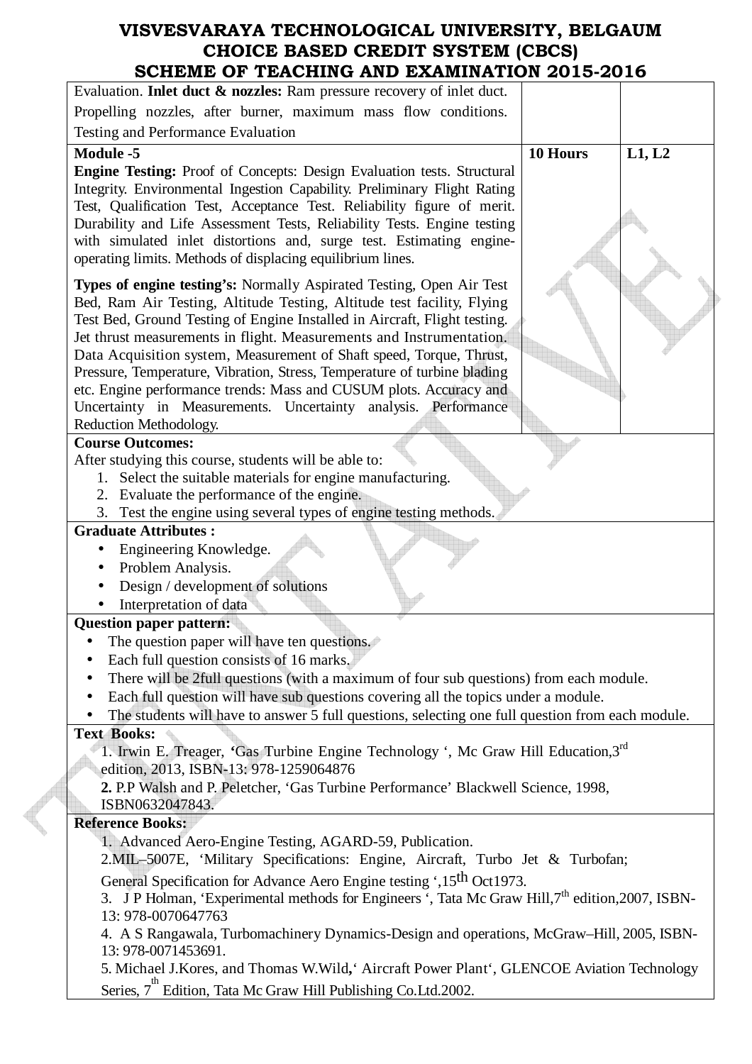| U OI T <i>er</i> oiiing an <i>d eas</i> mination 2010-2010                                                                                                                                                                                                                                                                                                                                                                                                                                                                                                                                                                |          |        |
|---------------------------------------------------------------------------------------------------------------------------------------------------------------------------------------------------------------------------------------------------------------------------------------------------------------------------------------------------------------------------------------------------------------------------------------------------------------------------------------------------------------------------------------------------------------------------------------------------------------------------|----------|--------|
| Evaluation. Inlet duct & nozzles: Ram pressure recovery of inlet duct.                                                                                                                                                                                                                                                                                                                                                                                                                                                                                                                                                    |          |        |
| Propelling nozzles, after burner, maximum mass flow conditions.                                                                                                                                                                                                                                                                                                                                                                                                                                                                                                                                                           |          |        |
| Testing and Performance Evaluation                                                                                                                                                                                                                                                                                                                                                                                                                                                                                                                                                                                        |          |        |
| <b>Module -5</b><br><b>Engine Testing:</b> Proof of Concepts: Design Evaluation tests. Structural<br>Integrity. Environmental Ingestion Capability. Preliminary Flight Rating<br>Test, Qualification Test, Acceptance Test. Reliability figure of merit.<br>Durability and Life Assessment Tests, Reliability Tests. Engine testing<br>with simulated inlet distortions and, surge test. Estimating engine-<br>operating limits. Methods of displacing equilibrium lines.                                                                                                                                                 | 10 Hours | L1, L2 |
| Types of engine testing's: Normally Aspirated Testing, Open Air Test<br>Bed, Ram Air Testing, Altitude Testing, Altitude test facility, Flying<br>Test Bed, Ground Testing of Engine Installed in Aircraft, Flight testing.<br>Jet thrust measurements in flight. Measurements and Instrumentation.<br>Data Acquisition system, Measurement of Shaft speed, Torque, Thrust,<br>Pressure, Temperature, Vibration, Stress, Temperature of turbine blading<br>etc. Engine performance trends: Mass and CUSUM plots. Accuracy and<br>Uncertainty in Measurements. Uncertainty analysis. Performance<br>Reduction Methodology. |          |        |
| <b>Course Outcomes:</b>                                                                                                                                                                                                                                                                                                                                                                                                                                                                                                                                                                                                   |          |        |
| After studying this course, students will be able to:<br>1. Select the suitable materials for engine manufacturing.<br>2. Evaluate the performance of the engine.<br>Test the engine using several types of engine testing methods.<br>3.                                                                                                                                                                                                                                                                                                                                                                                 |          |        |
| <b>Graduate Attributes:</b>                                                                                                                                                                                                                                                                                                                                                                                                                                                                                                                                                                                               |          |        |
| Engineering Knowledge.<br>Problem Analysis.<br>Design / development of solutions<br>Interpretation of data                                                                                                                                                                                                                                                                                                                                                                                                                                                                                                                |          |        |
| <b>Question paper pattern:</b>                                                                                                                                                                                                                                                                                                                                                                                                                                                                                                                                                                                            |          |        |
| The question paper will have ten questions.                                                                                                                                                                                                                                                                                                                                                                                                                                                                                                                                                                               |          |        |
| Each full question consists of 16 marks.                                                                                                                                                                                                                                                                                                                                                                                                                                                                                                                                                                                  |          |        |
| There will be 2full questions (with a maximum of four sub questions) from each module.                                                                                                                                                                                                                                                                                                                                                                                                                                                                                                                                    |          |        |
| Each full question will have sub questions covering all the topics under a module.                                                                                                                                                                                                                                                                                                                                                                                                                                                                                                                                        |          |        |
| The students will have to answer 5 full questions, selecting one full question from each module.                                                                                                                                                                                                                                                                                                                                                                                                                                                                                                                          |          |        |
| <b>Text Books:</b><br>1. Irwin E. Treager, 'Gas Turbine Engine Technology ', Mc Graw Hill Education, 3rd<br>edition, 2013, ISBN-13: 978-1259064876                                                                                                                                                                                                                                                                                                                                                                                                                                                                        |          |        |
| 2. P.P Walsh and P. Peletcher, 'Gas Turbine Performance' Blackwell Science, 1998,<br>ISBN0632047843.                                                                                                                                                                                                                                                                                                                                                                                                                                                                                                                      |          |        |
| <b>Reference Books:</b>                                                                                                                                                                                                                                                                                                                                                                                                                                                                                                                                                                                                   |          |        |
| 1. Advanced Aero-Engine Testing, AGARD-59, Publication.                                                                                                                                                                                                                                                                                                                                                                                                                                                                                                                                                                   |          |        |
| 2. MIL-5007E, 'Military Specifications: Engine, Aircraft, Turbo Jet & Turbofan;                                                                                                                                                                                                                                                                                                                                                                                                                                                                                                                                           |          |        |
| General Specification for Advance Aero Engine testing ',15 <sup>th</sup> Oct1973.<br>3. J P Holman, 'Experimental methods for Engineers ', Tata Mc Graw Hill, 7 <sup>th</sup> edition, 2007, ISBN-<br>13: 978-0070647763                                                                                                                                                                                                                                                                                                                                                                                                  |          |        |
| 4. A S Rangawala, Turbomachinery Dynamics-Design and operations, McGraw-Hill, 2005, ISBN-<br>13: 978-0071453691.                                                                                                                                                                                                                                                                                                                                                                                                                                                                                                          |          |        |
| 5. Michael J. Kores, and Thomas W. Wild, Aircraft Power Plant ', GLENCOE Aviation Technology<br>Series, 7 <sup>th</sup> Edition, Tata Mc Graw Hill Publishing Co.Ltd.2002.                                                                                                                                                                                                                                                                                                                                                                                                                                                |          |        |

**CONTRACT**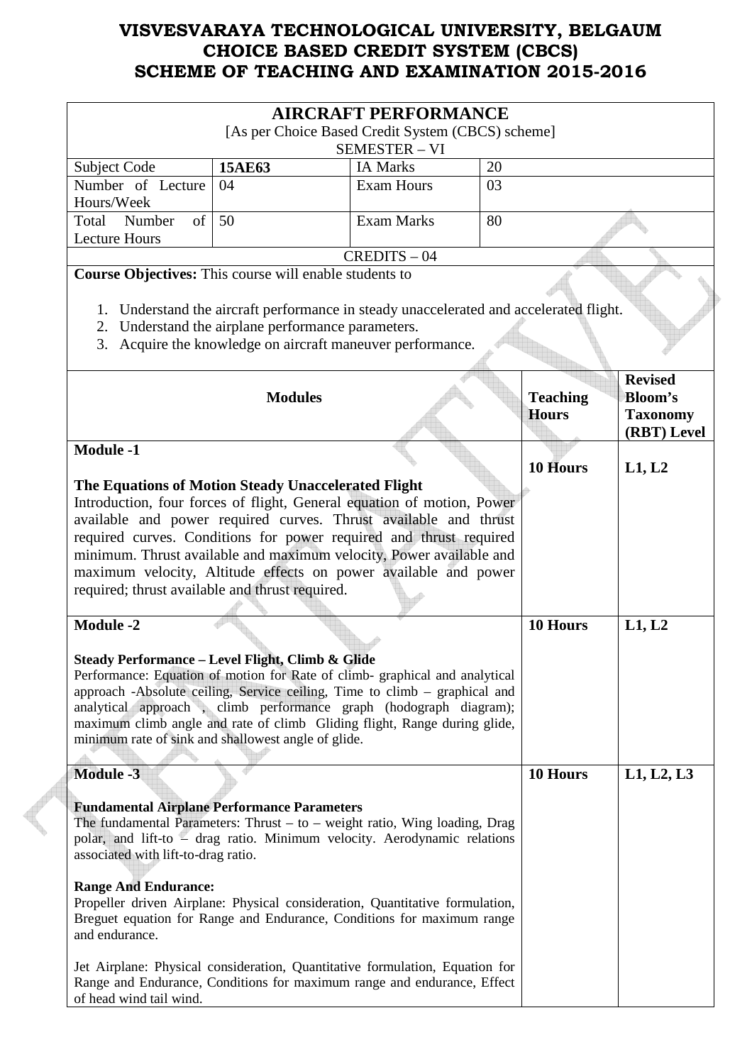|                                                                                                                                                                                                                                                                                                                                                                                                                                                                      |                                                                                                                                                                                       | <b>AIRCRAFT PERFORMANCE</b><br>[As per Choice Based Credit System (CBCS) scheme]                                                                  |    |                                 |                                                                    |  |  |
|----------------------------------------------------------------------------------------------------------------------------------------------------------------------------------------------------------------------------------------------------------------------------------------------------------------------------------------------------------------------------------------------------------------------------------------------------------------------|---------------------------------------------------------------------------------------------------------------------------------------------------------------------------------------|---------------------------------------------------------------------------------------------------------------------------------------------------|----|---------------------------------|--------------------------------------------------------------------|--|--|
|                                                                                                                                                                                                                                                                                                                                                                                                                                                                      |                                                                                                                                                                                       | <b>SEMESTER - VI</b>                                                                                                                              |    |                                 |                                                                    |  |  |
| <b>Subject Code</b>                                                                                                                                                                                                                                                                                                                                                                                                                                                  | 15AE63                                                                                                                                                                                | <b>IA Marks</b>                                                                                                                                   | 20 |                                 |                                                                    |  |  |
| Number of Lecture                                                                                                                                                                                                                                                                                                                                                                                                                                                    | 04                                                                                                                                                                                    | <b>Exam Hours</b>                                                                                                                                 | 03 |                                 |                                                                    |  |  |
| Hours/Week                                                                                                                                                                                                                                                                                                                                                                                                                                                           |                                                                                                                                                                                       |                                                                                                                                                   |    |                                 |                                                                    |  |  |
| Number<br>of<br>Total                                                                                                                                                                                                                                                                                                                                                                                                                                                | 50                                                                                                                                                                                    | <b>Exam Marks</b>                                                                                                                                 | 80 |                                 |                                                                    |  |  |
| <b>Lecture Hours</b>                                                                                                                                                                                                                                                                                                                                                                                                                                                 |                                                                                                                                                                                       |                                                                                                                                                   |    |                                 |                                                                    |  |  |
|                                                                                                                                                                                                                                                                                                                                                                                                                                                                      |                                                                                                                                                                                       | $CREDITS - 04$                                                                                                                                    |    |                                 |                                                                    |  |  |
| <b>Course Objectives:</b> This course will enable students to                                                                                                                                                                                                                                                                                                                                                                                                        | 2. Understand the airplane performance parameters.                                                                                                                                    | 1. Understand the aircraft performance in steady unaccelerated and accelerated flight.<br>Acquire the knowledge on aircraft maneuver performance. |    |                                 |                                                                    |  |  |
| 3.                                                                                                                                                                                                                                                                                                                                                                                                                                                                   |                                                                                                                                                                                       |                                                                                                                                                   |    |                                 |                                                                    |  |  |
|                                                                                                                                                                                                                                                                                                                                                                                                                                                                      | <b>Modules</b>                                                                                                                                                                        |                                                                                                                                                   |    | <b>Teaching</b><br><b>Hours</b> | <b>Revised</b><br><b>Bloom's</b><br><b>Taxonomy</b><br>(RBT) Level |  |  |
| <b>Module -1</b>                                                                                                                                                                                                                                                                                                                                                                                                                                                     |                                                                                                                                                                                       |                                                                                                                                                   |    | 10 Hours                        | L1, L2                                                             |  |  |
| The Equations of Motion Steady Unaccelerated Flight<br>Introduction, four forces of flight, General equation of motion, Power<br>available and power required curves. Thrust available and thrust<br>required curves. Conditions for power required and thrust required<br>minimum. Thrust available and maximum velocity, Power available and<br>maximum velocity, Altitude effects on power available and power<br>required; thrust available and thrust required. |                                                                                                                                                                                       |                                                                                                                                                   |    |                                 |                                                                    |  |  |
| <b>Module -2</b>                                                                                                                                                                                                                                                                                                                                                                                                                                                     |                                                                                                                                                                                       |                                                                                                                                                   |    | 10 Hours                        | L1, L2                                                             |  |  |
| Steady Performance - Level Flight, Climb & Glide<br>Performance: Equation of motion for Rate of climb-graphical and analytical<br>approach -Absolute ceiling, Service ceiling, Time to climb – graphical and<br>analytical approach, climb performance graph (hodograph diagram);<br>maximum climb angle and rate of climb Gliding flight, Range during glide,<br>minimum rate of sink and shallowest angle of glide.                                                |                                                                                                                                                                                       |                                                                                                                                                   |    |                                 |                                                                    |  |  |
| <b>Module -3</b>                                                                                                                                                                                                                                                                                                                                                                                                                                                     |                                                                                                                                                                                       |                                                                                                                                                   |    | 10 Hours                        | L1, L2, L3                                                         |  |  |
| <b>Fundamental Airplane Performance Parameters</b><br>The fundamental Parameters: Thrust $-$ to $-$ weight ratio, Wing loading, Drag<br>polar, and lift-to - drag ratio. Minimum velocity. Aerodynamic relations<br>associated with lift-to-drag ratio.                                                                                                                                                                                                              |                                                                                                                                                                                       |                                                                                                                                                   |    |                                 |                                                                    |  |  |
| and endurance.                                                                                                                                                                                                                                                                                                                                                                                                                                                       | <b>Range And Endurance:</b><br>Propeller driven Airplane: Physical consideration, Quantitative formulation,<br>Breguet equation for Range and Endurance, Conditions for maximum range |                                                                                                                                                   |    |                                 |                                                                    |  |  |
| Jet Airplane: Physical consideration, Quantitative formulation, Equation for<br>Range and Endurance, Conditions for maximum range and endurance, Effect<br>of head wind tail wind.                                                                                                                                                                                                                                                                                   |                                                                                                                                                                                       |                                                                                                                                                   |    |                                 |                                                                    |  |  |

 $\begin{matrix} \begin{matrix} \begin{matrix} \end{matrix} \end{matrix} \end{matrix}$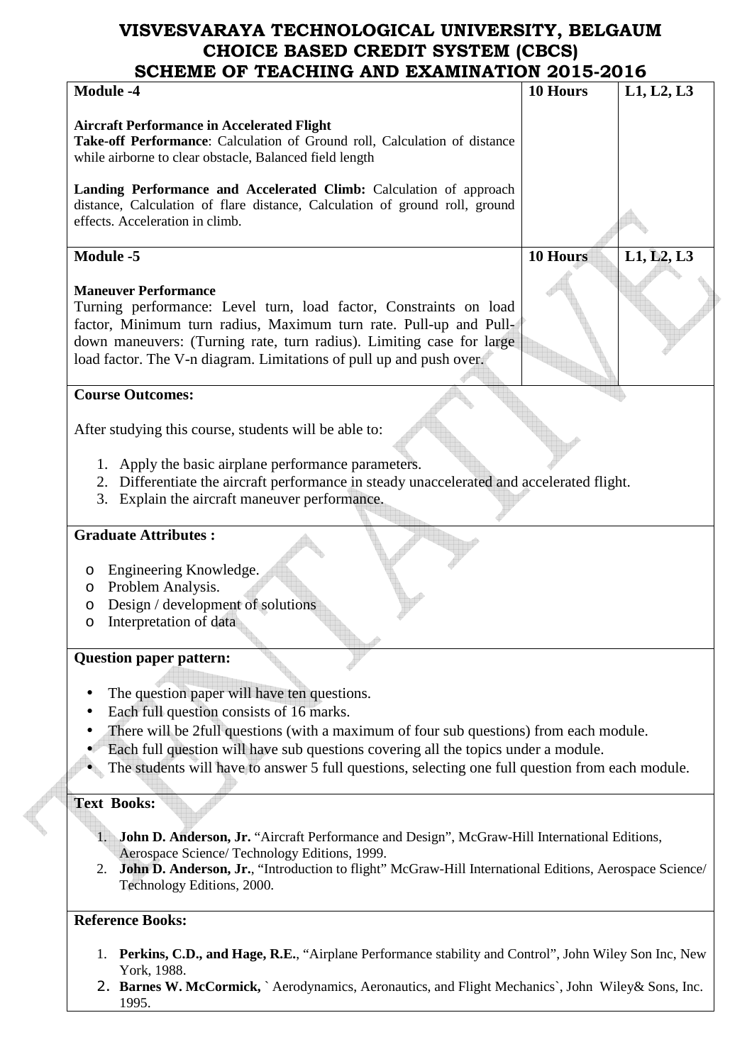| <b>Module -4</b>                                                                                               | 10 Hours        | L1, L2, L3 |
|----------------------------------------------------------------------------------------------------------------|-----------------|------------|
|                                                                                                                |                 |            |
| <b>Aircraft Performance in Accelerated Flight</b>                                                              |                 |            |
| Take-off Performance: Calculation of Ground roll, Calculation of distance                                      |                 |            |
| while airborne to clear obstacle, Balanced field length                                                        |                 |            |
|                                                                                                                |                 |            |
| Landing Performance and Accelerated Climb: Calculation of approach                                             |                 |            |
| distance, Calculation of flare distance, Calculation of ground roll, ground<br>effects. Acceleration in climb. |                 |            |
|                                                                                                                |                 |            |
| <b>Module -5</b>                                                                                               | <b>10 Hours</b> | L1, L2, L3 |
|                                                                                                                |                 |            |
| <b>Maneuver Performance</b>                                                                                    |                 |            |
| Turning performance: Level turn, load factor, Constraints on load                                              |                 |            |
| factor, Minimum turn radius, Maximum turn rate. Pull-up and Pull-                                              |                 |            |
| down maneuvers: (Turning rate, turn radius). Limiting case for large                                           |                 |            |
| load factor. The V-n diagram. Limitations of pull up and push over.                                            |                 |            |
|                                                                                                                |                 |            |
| <b>Course Outcomes:</b>                                                                                        |                 |            |
|                                                                                                                |                 |            |
| After studying this course, students will be able to:                                                          |                 |            |
|                                                                                                                |                 |            |
| 1. Apply the basic airplane performance parameters.                                                            |                 |            |
| 2. Differentiate the aircraft performance in steady unaccelerated and accelerated flight.                      |                 |            |
| 3. Explain the aircraft maneuver performance.                                                                  |                 |            |
|                                                                                                                |                 |            |
| <b>Graduate Attributes:</b>                                                                                    |                 |            |
|                                                                                                                |                 |            |
| Engineering Knowledge.<br>O                                                                                    |                 |            |
| Problem Analysis.<br>O                                                                                         |                 |            |
| Design / development of solutions<br>O                                                                         |                 |            |
| Interpretation of data<br>O                                                                                    |                 |            |
|                                                                                                                |                 |            |
| <b>Question paper pattern:</b>                                                                                 |                 |            |
|                                                                                                                |                 |            |
| The question paper will have ten questions.                                                                    |                 |            |
| Each full question consists of 16 marks.                                                                       |                 |            |
| There will be 2full questions (with a maximum of four sub questions) from each module.                         |                 |            |
| Each full question will have sub questions covering all the topics under a module.                             |                 |            |
| The students will have to answer 5 full questions, selecting one full question from each module.               |                 |            |
|                                                                                                                |                 |            |
| <b>Text Books:</b>                                                                                             |                 |            |
|                                                                                                                |                 |            |
| <b>John D. Anderson, Jr.</b> "Aircraft Performance and Design", McGraw-Hill International Editions,            |                 |            |
| Aerospace Science/ Technology Editions, 1999.                                                                  |                 |            |
| John D. Anderson, Jr., "Introduction to flight" McGraw-Hill International Editions, Aerospace Science/<br>2.   |                 |            |
| Technology Editions, 2000.                                                                                     |                 |            |
|                                                                                                                |                 |            |
| <b>Reference Books:</b>                                                                                        |                 |            |
|                                                                                                                |                 |            |

1. **Perkins, C.D., and Hage, R.E.**, "Airplane Performance stability and Control", John Wiley Son Inc, New York, 1988.

**Contract Contract Contract** 

2. **Barnes W. McCormick,** ` Aerodynamics, Aeronautics, and Flight Mechanics`, John Wiley& Sons, Inc. 1995.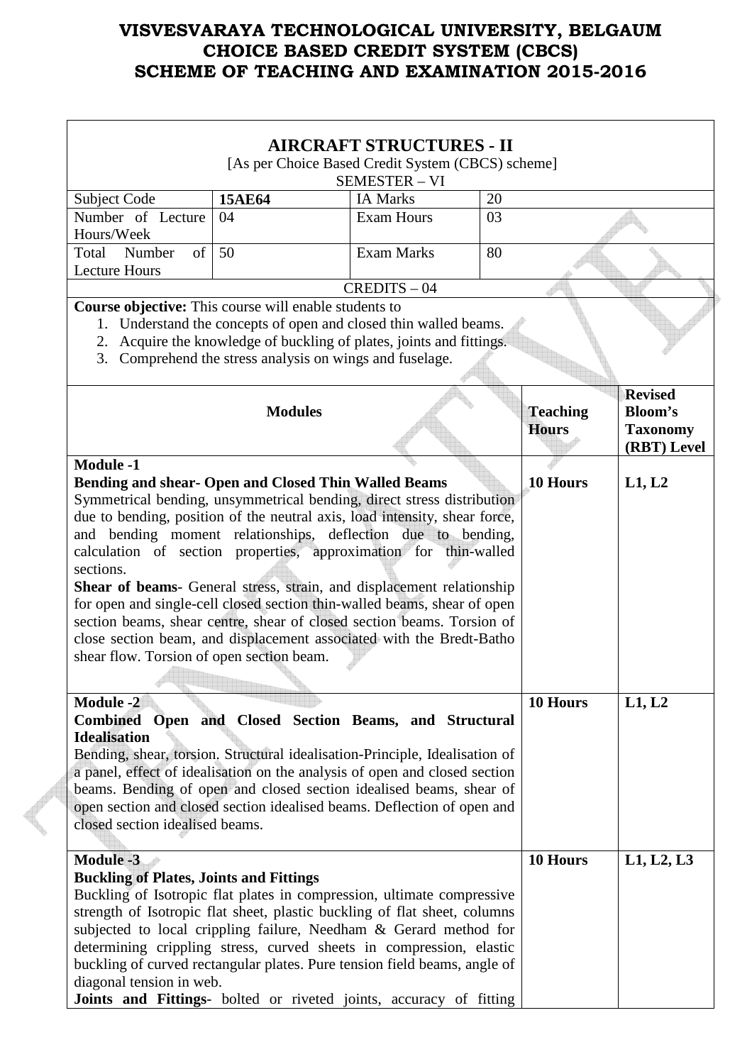|                                                                                                                                                                                                                                                                                                                                                                                                                                                                                                                                                                                                                                                                                                                                                                                                                                                                 |                                                                                                                                                                                                | <b>AIRCRAFT STRUCTURES - II</b> |    |                                 |                                                                    |  |
|-----------------------------------------------------------------------------------------------------------------------------------------------------------------------------------------------------------------------------------------------------------------------------------------------------------------------------------------------------------------------------------------------------------------------------------------------------------------------------------------------------------------------------------------------------------------------------------------------------------------------------------------------------------------------------------------------------------------------------------------------------------------------------------------------------------------------------------------------------------------|------------------------------------------------------------------------------------------------------------------------------------------------------------------------------------------------|---------------------------------|----|---------------------------------|--------------------------------------------------------------------|--|
| [As per Choice Based Credit System (CBCS) scheme]                                                                                                                                                                                                                                                                                                                                                                                                                                                                                                                                                                                                                                                                                                                                                                                                               |                                                                                                                                                                                                |                                 |    |                                 |                                                                    |  |
|                                                                                                                                                                                                                                                                                                                                                                                                                                                                                                                                                                                                                                                                                                                                                                                                                                                                 |                                                                                                                                                                                                | SEMESTER - VI                   |    |                                 |                                                                    |  |
| Subject Code                                                                                                                                                                                                                                                                                                                                                                                                                                                                                                                                                                                                                                                                                                                                                                                                                                                    | <b>15AE64</b>                                                                                                                                                                                  | <b>IA Marks</b>                 | 20 |                                 |                                                                    |  |
| Number of Lecture<br>Hours/Week                                                                                                                                                                                                                                                                                                                                                                                                                                                                                                                                                                                                                                                                                                                                                                                                                                 | 04                                                                                                                                                                                             | <b>Exam Hours</b>               | 03 |                                 |                                                                    |  |
| Total<br>Number<br>of                                                                                                                                                                                                                                                                                                                                                                                                                                                                                                                                                                                                                                                                                                                                                                                                                                           | 50                                                                                                                                                                                             | <b>Exam Marks</b>               | 80 |                                 |                                                                    |  |
| <b>Lecture Hours</b>                                                                                                                                                                                                                                                                                                                                                                                                                                                                                                                                                                                                                                                                                                                                                                                                                                            |                                                                                                                                                                                                |                                 |    |                                 |                                                                    |  |
|                                                                                                                                                                                                                                                                                                                                                                                                                                                                                                                                                                                                                                                                                                                                                                                                                                                                 |                                                                                                                                                                                                | $CREDITS - 04$                  |    |                                 |                                                                    |  |
| Course objective: This course will enable students to                                                                                                                                                                                                                                                                                                                                                                                                                                                                                                                                                                                                                                                                                                                                                                                                           |                                                                                                                                                                                                |                                 |    |                                 |                                                                    |  |
| 2.<br>3.                                                                                                                                                                                                                                                                                                                                                                                                                                                                                                                                                                                                                                                                                                                                                                                                                                                        | 1. Understand the concepts of open and closed thin walled beams.<br>Acquire the knowledge of buckling of plates, joints and fittings.<br>Comprehend the stress analysis on wings and fuselage. |                                 |    |                                 |                                                                    |  |
|                                                                                                                                                                                                                                                                                                                                                                                                                                                                                                                                                                                                                                                                                                                                                                                                                                                                 | <b>Modules</b>                                                                                                                                                                                 |                                 |    | <b>Teaching</b><br><b>Hours</b> | <b>Revised</b><br><b>Bloom's</b><br><b>Taxonomy</b><br>(RBT) Level |  |
| <b>Module -1</b><br>10 Hours<br>Bending and shear- Open and Closed Thin Walled Beams<br>L1, L2<br>Symmetrical bending, unsymmetrical bending, direct stress distribution<br>due to bending, position of the neutral axis, load intensity, shear force,<br>and bending moment relationships, deflection due to bending,<br>calculation of section properties, approximation for thin-walled<br>sections.<br>Shear of beams- General stress, strain, and displacement relationship<br>for open and single-cell closed section thin-walled beams, shear of open<br>section beams, shear centre, shear of closed section beams. Torsion of<br>close section beam, and displacement associated with the Bredt-Batho<br>shear flow. Torsion of open section beam.<br><b>Module -2</b><br>10 Hours<br>L1, L2<br>Combined Open and Closed Section Beams, and Structural |                                                                                                                                                                                                |                                 |    |                                 |                                                                    |  |
| <b>Idealisation</b><br>Bending, shear, torsion. Structural idealisation-Principle, Idealisation of<br>a panel, effect of idealisation on the analysis of open and closed section<br>beams. Bending of open and closed section idealised beams, shear of<br>open section and closed section idealised beams. Deflection of open and<br>closed section idealised beams.                                                                                                                                                                                                                                                                                                                                                                                                                                                                                           |                                                                                                                                                                                                |                                 |    |                                 |                                                                    |  |
| <b>Module -3</b><br><b>Buckling of Plates, Joints and Fittings</b><br>Buckling of Isotropic flat plates in compression, ultimate compressive<br>strength of Isotropic flat sheet, plastic buckling of flat sheet, columns<br>subjected to local crippling failure, Needham & Gerard method for<br>determining crippling stress, curved sheets in compression, elastic<br>buckling of curved rectangular plates. Pure tension field beams, angle of<br>diagonal tension in web.<br>Joints and Fittings- bolted or riveted joints, accuracy of fitting                                                                                                                                                                                                                                                                                                            |                                                                                                                                                                                                |                                 |    | 10 Hours                        | L1, L2, L3                                                         |  |

**A**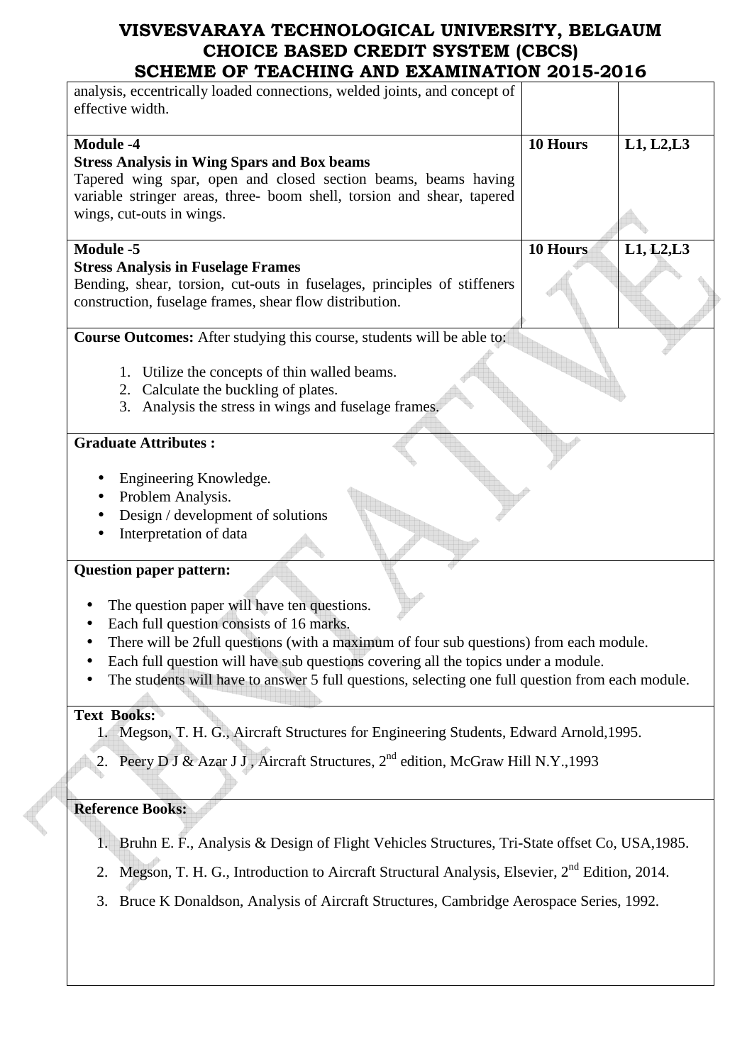| SCHEME OF TEACHING AND EAAMINATION 2013-2010                                                                   |          |            |
|----------------------------------------------------------------------------------------------------------------|----------|------------|
| analysis, eccentrically loaded connections, welded joints, and concept of<br>effective width.                  |          |            |
| <b>Module -4</b>                                                                                               | 10 Hours | L1, L2, L3 |
|                                                                                                                |          |            |
| <b>Stress Analysis in Wing Spars and Box beams</b>                                                             |          |            |
| Tapered wing spar, open and closed section beams, beams having                                                 |          |            |
| variable stringer areas, three- boom shell, torsion and shear, tapered                                         |          |            |
| wings, cut-outs in wings.                                                                                      |          |            |
|                                                                                                                |          |            |
| <b>Module -5</b>                                                                                               | 10 Hours | L1, L2, L3 |
| <b>Stress Analysis in Fuselage Frames</b>                                                                      |          |            |
| Bending, shear, torsion, cut-outs in fuselages, principles of stiffeners                                       |          |            |
| construction, fuselage frames, shear flow distribution.                                                        |          |            |
|                                                                                                                |          |            |
| <b>Course Outcomes:</b> After studying this course, students will be able to:                                  |          |            |
|                                                                                                                |          |            |
|                                                                                                                |          |            |
| 1. Utilize the concepts of thin walled beams.                                                                  |          |            |
| 2. Calculate the buckling of plates.                                                                           |          |            |
| 3. Analysis the stress in wings and fuselage frames.                                                           |          |            |
|                                                                                                                |          |            |
| <b>Graduate Attributes:</b>                                                                                    |          |            |
|                                                                                                                |          |            |
| Engineering Knowledge.                                                                                         |          |            |
|                                                                                                                |          |            |
| Problem Analysis.                                                                                              |          |            |
| Design / development of solutions                                                                              |          |            |
| Interpretation of data                                                                                         |          |            |
|                                                                                                                |          |            |
| <b>Question paper pattern:</b>                                                                                 |          |            |
| The question paper will have ten questions.                                                                    |          |            |
| Each full question consists of 16 marks.                                                                       |          |            |
|                                                                                                                |          |            |
| There will be 2full questions (with a maximum of four sub questions) from each module.                         |          |            |
| Each full question will have sub questions covering all the topics under a module.                             |          |            |
| The students will have to answer 5 full questions, selecting one full question from each module.               |          |            |
|                                                                                                                |          |            |
| <b>Text Books:</b>                                                                                             |          |            |
| 1. Megson, T. H. G., Aircraft Structures for Engineering Students, Edward Arnold, 1995.                        |          |            |
|                                                                                                                |          |            |
| Peery D J & Azar J J, Aircraft Structures, 2 <sup>nd</sup> edition, McGraw Hill N.Y., 1993<br>2.               |          |            |
|                                                                                                                |          |            |
|                                                                                                                |          |            |
| <b>Reference Books:</b>                                                                                        |          |            |
|                                                                                                                |          |            |
| Bruhn E. F., Analysis & Design of Flight Vehicles Structures, Tri-State offset Co, USA, 1985.<br>1.            |          |            |
|                                                                                                                |          |            |
| Megson, T. H. G., Introduction to Aircraft Structural Analysis, Elsevier, 2 <sup>nd</sup> Edition, 2014.<br>2. |          |            |
|                                                                                                                |          |            |
| Bruce K Donaldson, Analysis of Aircraft Structures, Cambridge Aerospace Series, 1992.<br>3.                    |          |            |
|                                                                                                                |          |            |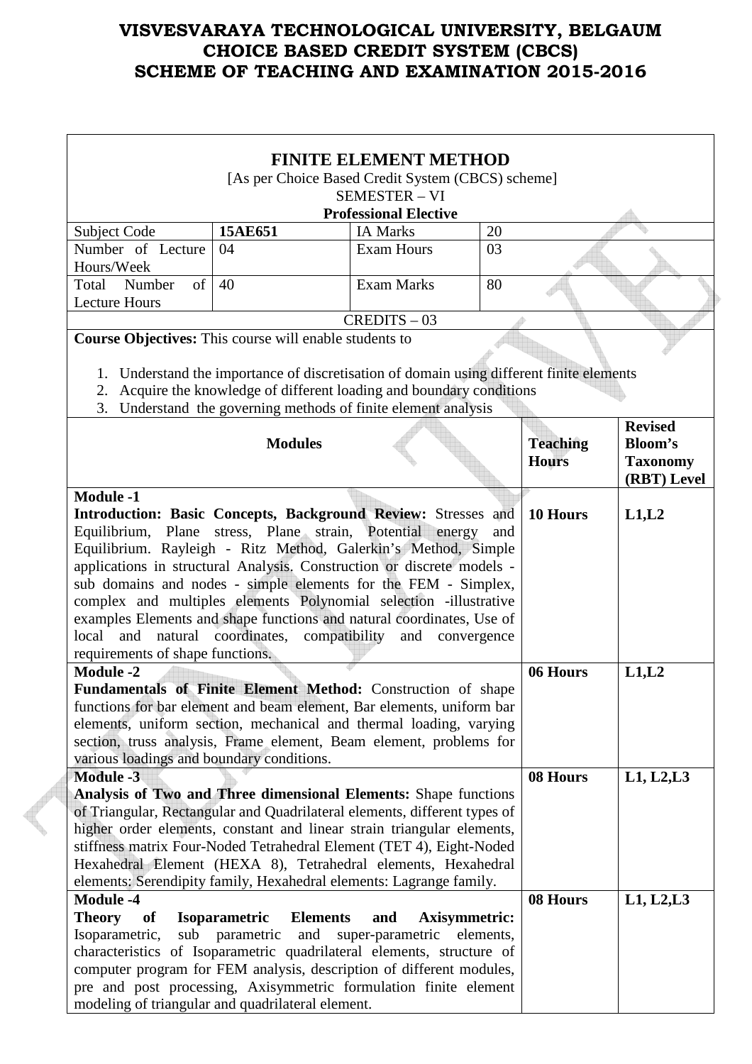| <b>FINITE ELEMENT METHOD</b>                                         |                                                   |                                                                                          |     |                 |                 |  |  |
|----------------------------------------------------------------------|---------------------------------------------------|------------------------------------------------------------------------------------------|-----|-----------------|-----------------|--|--|
|                                                                      | [As per Choice Based Credit System (CBCS) scheme] |                                                                                          |     |                 |                 |  |  |
| <b>SEMESTER - VI</b>                                                 |                                                   |                                                                                          |     |                 |                 |  |  |
|                                                                      |                                                   | <b>Professional Elective</b>                                                             |     |                 |                 |  |  |
| Subject Code                                                         | 15AE651                                           | <b>IA Marks</b>                                                                          | 20  |                 |                 |  |  |
| Number of Lecture                                                    | 04                                                | <b>Exam Hours</b>                                                                        | 03  |                 |                 |  |  |
| Hours/Week                                                           |                                                   |                                                                                          |     |                 |                 |  |  |
| $\sigma$ f<br>Number<br>Total                                        | 40                                                | <b>Exam Marks</b>                                                                        | 80  |                 |                 |  |  |
| <b>Lecture Hours</b>                                                 |                                                   |                                                                                          |     |                 |                 |  |  |
|                                                                      |                                                   | $CREDITS - 03$                                                                           |     |                 |                 |  |  |
| Course Objectives: This course will enable students to               |                                                   |                                                                                          |     |                 |                 |  |  |
|                                                                      |                                                   |                                                                                          |     |                 |                 |  |  |
|                                                                      |                                                   | 1. Understand the importance of discretisation of domain using different finite elements |     |                 |                 |  |  |
| 2.                                                                   |                                                   | Acquire the knowledge of different loading and boundary conditions                       |     |                 |                 |  |  |
| 3.                                                                   |                                                   | Understand the governing methods of finite element analysis                              |     |                 |                 |  |  |
|                                                                      |                                                   |                                                                                          |     |                 | <b>Revised</b>  |  |  |
|                                                                      | <b>Modules</b>                                    |                                                                                          |     | <b>Teaching</b> | <b>Bloom's</b>  |  |  |
|                                                                      |                                                   |                                                                                          |     | <b>Hours</b>    | <b>Taxonomy</b> |  |  |
|                                                                      |                                                   |                                                                                          |     |                 | (RBT) Level     |  |  |
| <b>Module -1</b>                                                     |                                                   |                                                                                          |     |                 |                 |  |  |
|                                                                      |                                                   | Introduction: Basic Concepts, Background Review: Stresses and                            |     | 10 Hours        | L1,L2           |  |  |
|                                                                      |                                                   | Equilibrium, Plane stress, Plane strain, Potential energy                                | and |                 |                 |  |  |
|                                                                      |                                                   | Equilibrium. Rayleigh - Ritz Method, Galerkin's Method, Simple                           |     |                 |                 |  |  |
|                                                                      |                                                   | applications in structural Analysis. Construction or discrete models -                   |     |                 |                 |  |  |
|                                                                      |                                                   | sub domains and nodes - simple elements for the FEM - Simplex,                           |     |                 |                 |  |  |
|                                                                      |                                                   | complex and multiples elements Polynomial selection -illustrative                        |     |                 |                 |  |  |
|                                                                      |                                                   | examples Elements and shape functions and natural coordinates, Use of                    |     |                 |                 |  |  |
| local and                                                            | natural coordinates, compatibility and            | convergence                                                                              |     |                 |                 |  |  |
| requirements of shape functions.                                     |                                                   |                                                                                          |     |                 |                 |  |  |
| <b>Module -2</b>                                                     |                                                   |                                                                                          |     | 06 Hours        | L1,L2           |  |  |
|                                                                      |                                                   | Fundamentals of Finite Element Method: Construction of shape                             |     |                 |                 |  |  |
|                                                                      |                                                   | functions for bar element and beam element, Bar elements, uniform bar                    |     |                 |                 |  |  |
|                                                                      |                                                   | elements, uniform section, mechanical and thermal loading, varying                       |     |                 |                 |  |  |
|                                                                      |                                                   | section, truss analysis, Frame element, Beam element, problems for                       |     |                 |                 |  |  |
| various loadings and boundary conditions.                            |                                                   |                                                                                          |     |                 |                 |  |  |
| <b>Module -3</b>                                                     |                                                   |                                                                                          |     | 08 Hours        | L1, L2, L3      |  |  |
|                                                                      |                                                   | Analysis of Two and Three dimensional Elements: Shape functions                          |     |                 |                 |  |  |
|                                                                      |                                                   | of Triangular, Rectangular and Quadrilateral elements, different types of                |     |                 |                 |  |  |
|                                                                      |                                                   | higher order elements, constant and linear strain triangular elements,                   |     |                 |                 |  |  |
| stiffness matrix Four-Noded Tetrahedral Element (TET 4), Eight-Noded |                                                   |                                                                                          |     |                 |                 |  |  |
| Hexahedral Element (HEXA 8), Tetrahedral elements, Hexahedral        |                                                   |                                                                                          |     |                 |                 |  |  |
|                                                                      |                                                   | elements: Serendipity family, Hexahedral elements: Lagrange family.                      |     |                 |                 |  |  |
| <b>Module -4</b>                                                     |                                                   |                                                                                          |     | 08 Hours        | L1, L2, L3      |  |  |
| Theory of                                                            | <b>Isoparametric</b><br><b>Elements</b>           | and<br>Axisymmetric:                                                                     |     |                 |                 |  |  |
| Isoparametric,                                                       |                                                   | sub parametric and super-parametric elements,                                            |     |                 |                 |  |  |
|                                                                      |                                                   | characteristics of Isoparametric quadrilateral elements, structure of                    |     |                 |                 |  |  |
|                                                                      |                                                   | computer program for FEM analysis, description of different modules,                     |     |                 |                 |  |  |
|                                                                      |                                                   | pre and post processing, Axisymmetric formulation finite element                         |     |                 |                 |  |  |
|                                                                      | modeling of triangular and quadrilateral element. |                                                                                          |     |                 |                 |  |  |

**CONTRACT**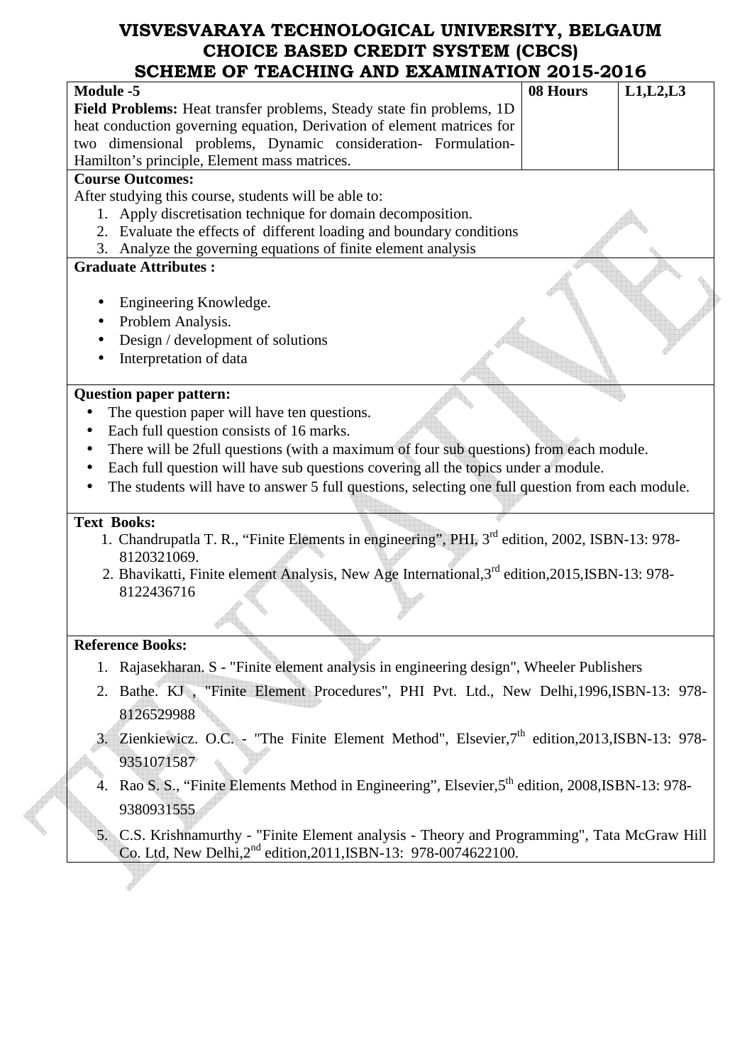| SCHEME OF TEACHING AND EXAMINATION 2013-2016                                                                |          |            |
|-------------------------------------------------------------------------------------------------------------|----------|------------|
| <b>Module -5</b>                                                                                            | 08 Hours | L1, L2, L3 |
| Field Problems: Heat transfer problems, Steady state fin problems, 1D                                       |          |            |
| heat conduction governing equation, Derivation of element matrices for                                      |          |            |
| two dimensional problems, Dynamic consideration- Formulation-                                               |          |            |
| Hamilton's principle, Element mass matrices.                                                                |          |            |
| <b>Course Outcomes:</b>                                                                                     |          |            |
| After studying this course, students will be able to:                                                       |          |            |
| Apply discretisation technique for domain decomposition.<br>1.                                              |          |            |
| 2. Evaluate the effects of different loading and boundary conditions                                        |          |            |
| 3. Analyze the governing equations of finite element analysis                                               |          |            |
| <b>Graduate Attributes:</b>                                                                                 |          |            |
|                                                                                                             |          |            |
| Engineering Knowledge.                                                                                      |          |            |
| Problem Analysis.                                                                                           |          |            |
| Design / development of solutions                                                                           |          |            |
| Interpretation of data                                                                                      |          |            |
| <b>Question paper pattern:</b>                                                                              |          |            |
| The question paper will have ten questions.                                                                 |          |            |
| Each full question consists of 16 marks.                                                                    |          |            |
| There will be 2full questions (with a maximum of four sub questions) from each module.                      |          |            |
| Each full question will have sub questions covering all the topics under a module.                          |          |            |
| The students will have to answer 5 full questions, selecting one full question from each module.            |          |            |
|                                                                                                             |          |            |
| <b>Text Books:</b>                                                                                          |          |            |
| 1. Chandrupatla T. R., "Finite Elements in engineering", PHI, 3 <sup>rd</sup> edition, 2002, ISBN-13: 978-  |          |            |
| 8120321069.                                                                                                 |          |            |
| 2. Bhavikatti, Finite element Analysis, New Age International, 3 <sup>rd</sup> edition, 2015, ISBN-13: 978- |          |            |
| 8122436716                                                                                                  |          |            |
|                                                                                                             |          |            |
|                                                                                                             |          |            |
| <b>Reference Books:</b>                                                                                     |          |            |
| 1. Rajasekharan. S - "Finite element analysis in engineering design", Wheeler Publishers                    |          |            |
| Bathe. KJ, "Finite Element Procedures", PHI Pvt. Ltd., New Delhi, 1996, ISBN-13: 978-<br>2.                 |          |            |
| 8126529988                                                                                                  |          |            |
|                                                                                                             |          |            |
| Zienkiewicz. O.C. - "The Finite Element Method", Elsevier,7 <sup>th</sup> edition,2013,ISBN-13: 978-        |          |            |
| 9351071587                                                                                                  |          |            |
| Rao S. S., "Finite Elements Method in Engineering", Elsevier, 5th edition, 2008, ISBN-13: 978-              |          |            |
|                                                                                                             |          |            |
| 9380931555                                                                                                  |          |            |
| C.S. Krishnamurthy - "Finite Element analysis - Theory and Programming", Tata McGraw Hill<br>5.             |          |            |
| Co. Ltd, New Delhi, 2 <sup>nd</sup> edition, 2011, ISBN-13: 978-0074622100.                                 |          |            |
|                                                                                                             |          |            |
|                                                                                                             |          |            |

E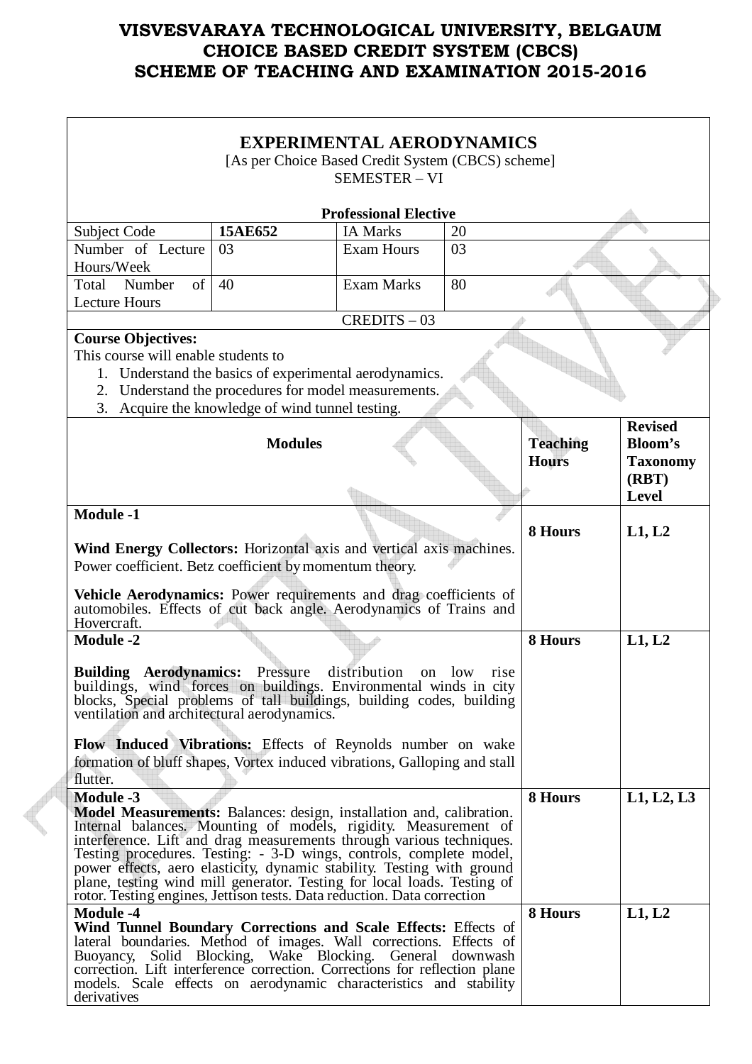|                                                                                                                                                   |                                                                                                                | <b>EXPERIMENTAL AERODYNAMICS</b> |             |                 |                 |
|---------------------------------------------------------------------------------------------------------------------------------------------------|----------------------------------------------------------------------------------------------------------------|----------------------------------|-------------|-----------------|-----------------|
|                                                                                                                                                   | [As per Choice Based Credit System (CBCS) scheme]                                                              |                                  |             |                 |                 |
|                                                                                                                                                   |                                                                                                                | <b>SEMESTER - VI</b>             |             |                 |                 |
|                                                                                                                                                   |                                                                                                                |                                  |             |                 |                 |
|                                                                                                                                                   |                                                                                                                | <b>Professional Elective</b>     |             |                 |                 |
| Subject Code                                                                                                                                      | 15AE652                                                                                                        | <b>IA Marks</b>                  | 20          |                 |                 |
| Number of Lecture<br>Hours/Week                                                                                                                   | 03                                                                                                             | <b>Exam Hours</b>                | 03          |                 |                 |
| of<br>Number<br>Total                                                                                                                             | 40                                                                                                             | <b>Exam Marks</b>                | 80          |                 |                 |
| <b>Lecture Hours</b>                                                                                                                              |                                                                                                                |                                  |             |                 |                 |
|                                                                                                                                                   |                                                                                                                | $CREDITS - 03$                   |             |                 |                 |
| <b>Course Objectives:</b>                                                                                                                         |                                                                                                                |                                  |             |                 |                 |
| This course will enable students to                                                                                                               |                                                                                                                |                                  |             |                 |                 |
|                                                                                                                                                   | 1. Understand the basics of experimental aerodynamics.<br>2. Understand the procedures for model measurements. |                                  |             |                 |                 |
| 3.                                                                                                                                                | Acquire the knowledge of wind tunnel testing.                                                                  |                                  |             |                 |                 |
|                                                                                                                                                   |                                                                                                                |                                  |             |                 | <b>Revised</b>  |
|                                                                                                                                                   | <b>Modules</b>                                                                                                 |                                  |             | <b>Teaching</b> | Bloom's         |
|                                                                                                                                                   |                                                                                                                |                                  |             | <b>Hours</b>    | <b>Taxonomy</b> |
|                                                                                                                                                   |                                                                                                                |                                  |             |                 | (RBT)           |
|                                                                                                                                                   |                                                                                                                |                                  |             |                 | <b>Level</b>    |
| <b>Module -1</b>                                                                                                                                  |                                                                                                                |                                  |             | 8 Hours         | L1, L2          |
| Wind Energy Collectors: Horizontal axis and vertical axis machines.                                                                               |                                                                                                                |                                  |             |                 |                 |
| Power coefficient. Betz coefficient by momentum theory.                                                                                           |                                                                                                                |                                  |             |                 |                 |
|                                                                                                                                                   |                                                                                                                |                                  |             |                 |                 |
| Vehicle Aerodynamics: Power requirements and drag coefficients of<br>automobiles. Effects of cut back angle. Aerodynamics of Trains and           |                                                                                                                |                                  |             |                 |                 |
| Hovercraft.                                                                                                                                       |                                                                                                                |                                  |             |                 |                 |
| <b>Module -2</b>                                                                                                                                  |                                                                                                                |                                  |             | 8 Hours         | L1, L2          |
|                                                                                                                                                   |                                                                                                                |                                  |             |                 |                 |
| <b>Building Aerodynamics:</b><br>buildings, wind forces on buildings. Environmental winds in city                                                 | Pressure                                                                                                       | distribution<br><sub>on</sub>    | low<br>rise |                 |                 |
| blocks, Special problems of tall buildings, building codes, building                                                                              |                                                                                                                |                                  |             |                 |                 |
| ventilation and architectural aerodynamics.                                                                                                       |                                                                                                                |                                  |             |                 |                 |
| Flow Induced Vibrations: Effects of Reynolds number on wake                                                                                       |                                                                                                                |                                  |             |                 |                 |
| formation of bluff shapes, Vortex induced vibrations, Galloping and stall                                                                         |                                                                                                                |                                  |             |                 |                 |
| flutter.                                                                                                                                          |                                                                                                                |                                  |             |                 |                 |
| <b>Module -3</b>                                                                                                                                  |                                                                                                                |                                  |             | 8 Hours         | L1, L2, L3      |
| Model Measurements: Balances: design, installation and, calibration.<br>Internal balances. Mounting of models, rigidity. Measurement of           |                                                                                                                |                                  |             |                 |                 |
| interference. Lift and drag measurements through various techniques.                                                                              |                                                                                                                |                                  |             |                 |                 |
| Testing procedures. Testing: - 3-D wings, controls, complete model,                                                                               |                                                                                                                |                                  |             |                 |                 |
| power effects, aero elasticity, dynamic stability. Testing with ground<br>plane, testing wind mill generator. Testing for local loads. Testing of |                                                                                                                |                                  |             |                 |                 |
| rotor. Testing engines, Jettison tests. Data reduction. Data correction                                                                           |                                                                                                                |                                  |             |                 |                 |
| <b>Module -4</b>                                                                                                                                  |                                                                                                                |                                  |             | 8 Hours         | L1, L2          |
| Wind Tunnel Boundary Corrections and Scale Effects: Effects of<br>lateral boundaries. Method of images. Wall corrections. Effects of              |                                                                                                                |                                  |             |                 |                 |
| Buoyancy, Solid Blocking, Wake Blocking. General                                                                                                  |                                                                                                                |                                  | downwash    |                 |                 |
| correction. Lift interference correction. Corrections for reflection plane                                                                        |                                                                                                                |                                  |             |                 |                 |
| models. Scale effects on aerodynamic characteristics and stability<br>derivatives                                                                 |                                                                                                                |                                  |             |                 |                 |

**Contract Contract Contract**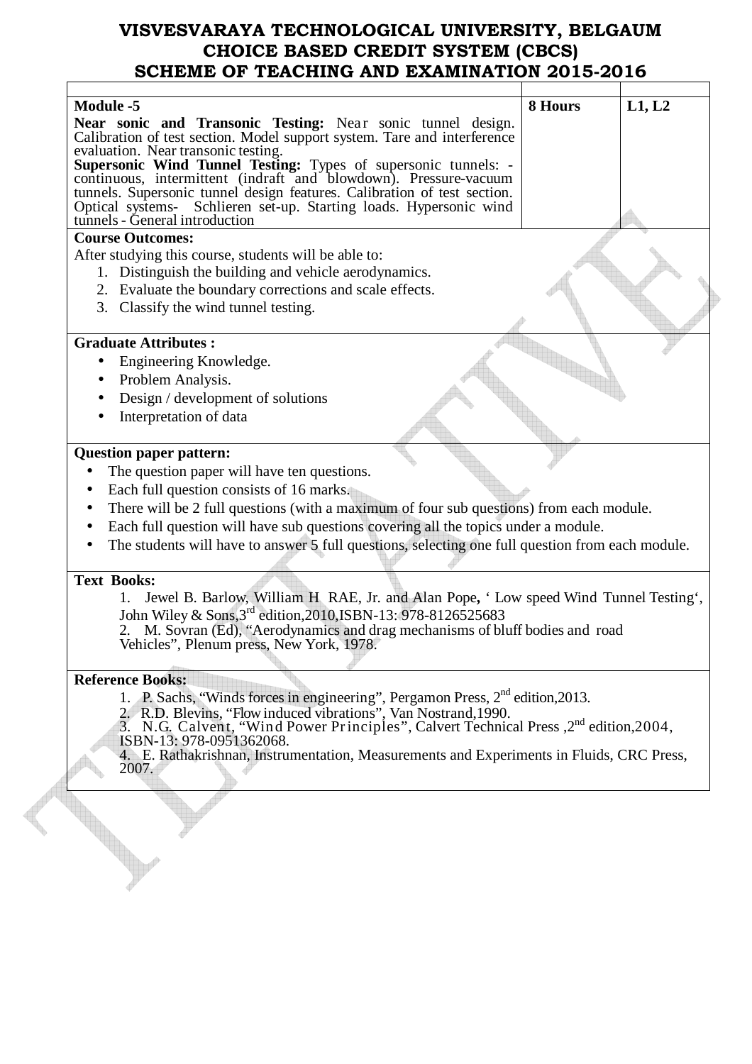| <b>Module -5</b>                                                                                                                          | 8 Hours | L1, L2 |
|-------------------------------------------------------------------------------------------------------------------------------------------|---------|--------|
| Near sonic and Transonic Testing: Near sonic tunnel design.                                                                               |         |        |
| Calibration of test section. Model support system. Tare and interference                                                                  |         |        |
| evaluation. Near transonic testing.                                                                                                       |         |        |
| <b>Supersonic Wind Tunnel Testing:</b> Types of supersonic tunnels: -<br>continuous, intermittent (indraft and blowdown). Pressure-vacuum |         |        |
| tunnels. Supersonic tunnel design features. Calibration of test section.                                                                  |         |        |
| Optical systems- Schlieren set-up. Starting loads. Hypersonic wind                                                                        |         |        |
| tunnels - General introduction                                                                                                            |         |        |
| <b>Course Outcomes:</b>                                                                                                                   |         |        |
| After studying this course, students will be able to:                                                                                     |         |        |
| 1. Distinguish the building and vehicle aerodynamics.                                                                                     |         |        |
| 2. Evaluate the boundary corrections and scale effects.                                                                                   |         |        |
| 3. Classify the wind tunnel testing.                                                                                                      |         |        |
|                                                                                                                                           |         |        |
| <b>Graduate Attributes:</b>                                                                                                               |         |        |
| Engineering Knowledge.<br>$\bullet$                                                                                                       |         |        |
| Problem Analysis.                                                                                                                         |         |        |
| Design / development of solutions                                                                                                         |         |        |
| Interpretation of data                                                                                                                    |         |        |
|                                                                                                                                           |         |        |
| <b>Question paper pattern:</b>                                                                                                            |         |        |
| The question paper will have ten questions.<br>$\bullet$                                                                                  |         |        |
| Each full question consists of 16 marks.<br>$\bullet$                                                                                     |         |        |
| There will be 2 full questions (with a maximum of four sub questions) from each module.                                                   |         |        |
| Each full question will have sub questions covering all the topics under a module.                                                        |         |        |
| The students will have to answer 5 full questions, selecting one full question from each module.                                          |         |        |
|                                                                                                                                           |         |        |
| <b>Text Books:</b>                                                                                                                        |         |        |
| Jewel B. Barlow, William H. RAE, Jr. and Alan Pope, 'Low speed Wind Tunnel Testing',                                                      |         |        |
| John Wiley & Sons, 3rd edition, 2010, ISBN-13: 978-8126525683                                                                             |         |        |
| 2. M. Sovran (Ed), "Aerodynamics and drag mechanisms of bluff bodies and road                                                             |         |        |
| Vehicles", Plenum press, New York, 1978.                                                                                                  |         |        |
|                                                                                                                                           |         |        |
| <b>Reference Books:</b>                                                                                                                   |         |        |
| 1. P. Sachs, "Winds forces in engineering", Pergamon Press, 2 <sup>nd</sup> edition, 2013.                                                |         |        |
| 2. R.D. Blevins, "Flow induced vibrations", Van Nostrand, 1990.                                                                           |         |        |
| 3. N.G. Calvent, "Wind Power Principles", Calvert Technical Press, 2 <sup>nd</sup> edition, 2004,                                         |         |        |
| ISBN-13: 978-0951362068.<br>4. E. Rathakrishnan, Instrumentation, Measurements and Experiments in Fluids, CRC Press,                      |         |        |
| 2007.                                                                                                                                     |         |        |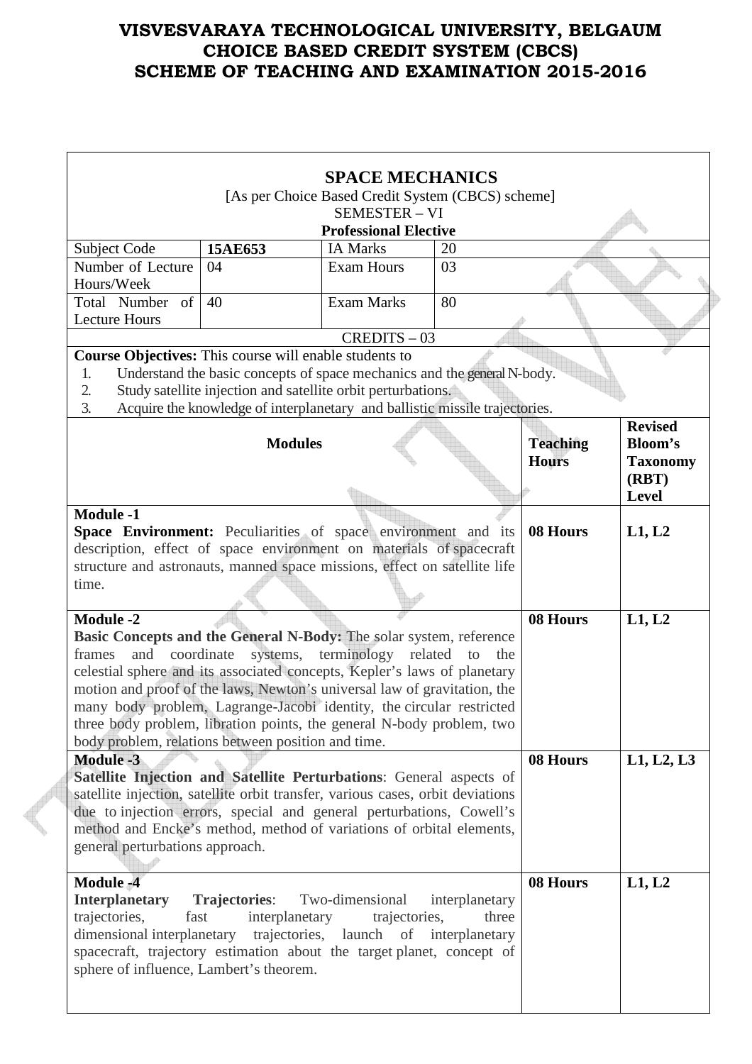|                                                                                                                                      |                                                                             | [As per Choice Based Credit System (CBCS) scheme]                     |                |                 |                      |
|--------------------------------------------------------------------------------------------------------------------------------------|-----------------------------------------------------------------------------|-----------------------------------------------------------------------|----------------|-----------------|----------------------|
|                                                                                                                                      |                                                                             | <b>SEMESTER - VI</b>                                                  |                |                 |                      |
|                                                                                                                                      |                                                                             | <b>Professional Elective</b>                                          |                |                 |                      |
| Subject Code<br>Number of Lecture                                                                                                    | 15AE653<br>04                                                               | <b>IA Marks</b><br><b>Exam Hours</b>                                  | 20<br>03       |                 |                      |
| Hours/Week                                                                                                                           |                                                                             |                                                                       |                |                 |                      |
| Total Number of                                                                                                                      | 40                                                                          | <b>Exam Marks</b>                                                     | 80             |                 |                      |
| <b>Lecture Hours</b>                                                                                                                 |                                                                             |                                                                       |                |                 |                      |
|                                                                                                                                      |                                                                             | $CREDITS - 03$                                                        |                |                 |                      |
| Course Objectives: This course will enable students to                                                                               |                                                                             |                                                                       |                |                 |                      |
| 1.                                                                                                                                   | Understand the basic concepts of space mechanics and the general N-body.    |                                                                       |                |                 |                      |
| 2.                                                                                                                                   | Study satellite injection and satellite orbit perturbations.                |                                                                       |                |                 |                      |
| 3.                                                                                                                                   | Acquire the knowledge of interplanetary and ballistic missile trajectories. |                                                                       |                |                 |                      |
|                                                                                                                                      |                                                                             |                                                                       |                |                 | <b>Revised</b>       |
|                                                                                                                                      | <b>Modules</b>                                                              |                                                                       |                | <b>Teaching</b> | <b>Bloom's</b>       |
|                                                                                                                                      |                                                                             |                                                                       |                | <b>Hours</b>    | <b>Taxonomy</b>      |
|                                                                                                                                      |                                                                             |                                                                       |                |                 | (RBT)                |
|                                                                                                                                      |                                                                             |                                                                       |                |                 | <b>Level</b>         |
| <b>Module -1</b>                                                                                                                     |                                                                             |                                                                       |                |                 |                      |
| Space Environment: Peculiarities of space environment and its<br>description, effect of space environment on materials of spacecraft |                                                                             |                                                                       |                | 08 Hours        | L1, L2               |
| structure and astronauts, manned space missions, effect on satellite life                                                            |                                                                             |                                                                       |                |                 |                      |
| time.                                                                                                                                |                                                                             |                                                                       |                |                 |                      |
|                                                                                                                                      |                                                                             |                                                                       |                |                 |                      |
| <b>Module -2</b>                                                                                                                     |                                                                             |                                                                       |                | 08 Hours        | L1, L2               |
| Basic Concepts and the General N-Body: The solar system, reference                                                                   |                                                                             |                                                                       |                |                 |                      |
| frames<br>and                                                                                                                        | coordinate<br>systems,                                                      | terminology related                                                   | to<br>the      |                 |                      |
| celestial sphere and its associated concepts, Kepler's laws of planetary                                                             |                                                                             |                                                                       |                |                 |                      |
| motion and proof of the laws, Newton's universal law of gravitation, the                                                             |                                                                             |                                                                       |                |                 |                      |
| many body problem, Lagrange-Jacobi identity, the circular restricted                                                                 |                                                                             |                                                                       |                |                 |                      |
|                                                                                                                                      |                                                                             |                                                                       |                |                 |                      |
|                                                                                                                                      |                                                                             | three body problem, libration points, the general N-body problem, two |                |                 |                      |
| body problem, relations between position and time.                                                                                   |                                                                             |                                                                       |                |                 |                      |
| <b>Module -3</b>                                                                                                                     |                                                                             |                                                                       |                | 08 Hours        |                      |
| Satellite Injection and Satellite Perturbations: General aspects of                                                                  |                                                                             |                                                                       |                |                 |                      |
| satellite injection, satellite orbit transfer, various cases, orbit deviations                                                       |                                                                             |                                                                       |                |                 |                      |
| due to injection errors, special and general perturbations, Cowell's                                                                 |                                                                             |                                                                       |                |                 |                      |
| method and Encke's method, method of variations of orbital elements,                                                                 |                                                                             |                                                                       |                |                 |                      |
| general perturbations approach.                                                                                                      |                                                                             |                                                                       |                |                 |                      |
|                                                                                                                                      |                                                                             |                                                                       |                |                 |                      |
| <b>Module -4</b>                                                                                                                     |                                                                             |                                                                       |                | 08 Hours        | L1, L2, L3<br>L1, L2 |
| <b>Interplanetary</b>                                                                                                                | <b>Trajectories:</b>                                                        | Two-dimensional                                                       | interplanetary |                 |                      |
| trajectories,<br>fast                                                                                                                | interplanetary                                                              | trajectories,                                                         | three          |                 |                      |
| dimensional interplanetary trajectories, launch of<br>spacecraft, trajectory estimation about the target planet, concept of          |                                                                             |                                                                       | interplanetary |                 |                      |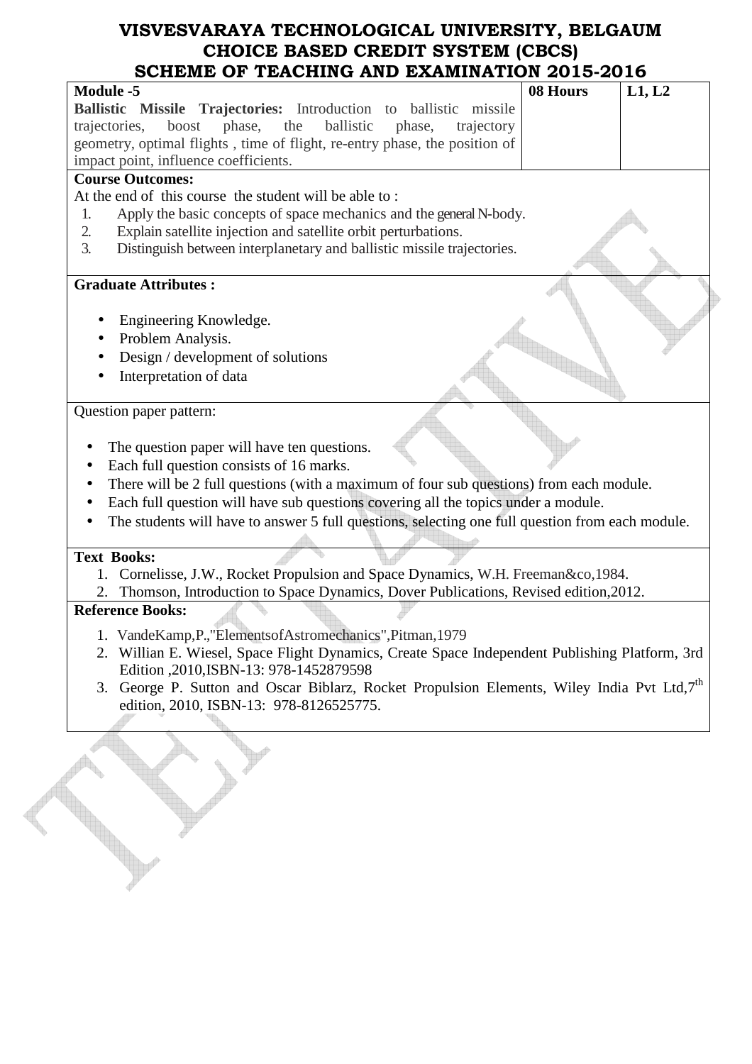| <b>Module -5</b>                                                                                       | 08 Hours | L1, L2 |
|--------------------------------------------------------------------------------------------------------|----------|--------|
| Ballistic Missile Trajectories: Introduction to ballistic missile                                      |          |        |
| boost<br>trajectories,<br>phase,<br>the<br>ballistic<br>phase,<br>trajectory                           |          |        |
| geometry, optimal flights, time of flight, re-entry phase, the position of                             |          |        |
| impact point, influence coefficients.                                                                  |          |        |
| <b>Course Outcomes:</b>                                                                                |          |        |
| At the end of this course the student will be able to:                                                 |          |        |
| Apply the basic concepts of space mechanics and the general N-body.<br>1.                              |          |        |
| 2.<br>Explain satellite injection and satellite orbit perturbations.                                   |          |        |
| 3.<br>Distinguish between interplanetary and ballistic missile trajectories.                           |          |        |
|                                                                                                        |          |        |
| <b>Graduate Attributes:</b>                                                                            |          |        |
|                                                                                                        |          |        |
| Engineering Knowledge.                                                                                 |          |        |
| Problem Analysis.                                                                                      |          |        |
| Design / development of solutions                                                                      |          |        |
| Interpretation of data                                                                                 |          |        |
|                                                                                                        |          |        |
| Question paper pattern:                                                                                |          |        |
|                                                                                                        |          |        |
| The question paper will have ten questions.                                                            |          |        |
| Each full question consists of 16 marks.<br>$\bullet$                                                  |          |        |
| There will be 2 full questions (with a maximum of four sub questions) from each module.                |          |        |
| Each full question will have sub questions covering all the topics under a module.                     |          |        |
| The students will have to answer 5 full questions, selecting one full question from each module.       |          |        |
|                                                                                                        |          |        |
| <b>Text Books:</b>                                                                                     |          |        |
| Cornelisse, J.W., Rocket Propulsion and Space Dynamics, W.H. Freeman &co, 1984.<br>1.                  |          |        |
| Thomson, Introduction to Space Dynamics, Dover Publications, Revised edition, 2012.                    |          |        |
| <b>Reference Books:</b>                                                                                |          |        |
| 1. VandeKamp, P., "Elements of Astromechanics", Pitman, 1979                                           |          |        |
| 2. Willian E. Wiesel, Space Flight Dynamics, Create Space Independent Publishing Platform, 3rd         |          |        |
| Edition , 2010, ISBN-13: 978-1452879598                                                                |          |        |
| 3. George P. Sutton and Oscar Biblarz, Rocket Propulsion Elements, Wiley India Pvt Ltd,7 <sup>th</sup> |          |        |
| edition, 2010, ISBN-13: 978-8126525775.                                                                |          |        |
|                                                                                                        |          |        |
|                                                                                                        |          |        |
|                                                                                                        |          |        |
|                                                                                                        |          |        |
|                                                                                                        |          |        |
|                                                                                                        |          |        |
|                                                                                                        |          |        |
|                                                                                                        |          |        |
|                                                                                                        |          |        |
|                                                                                                        |          |        |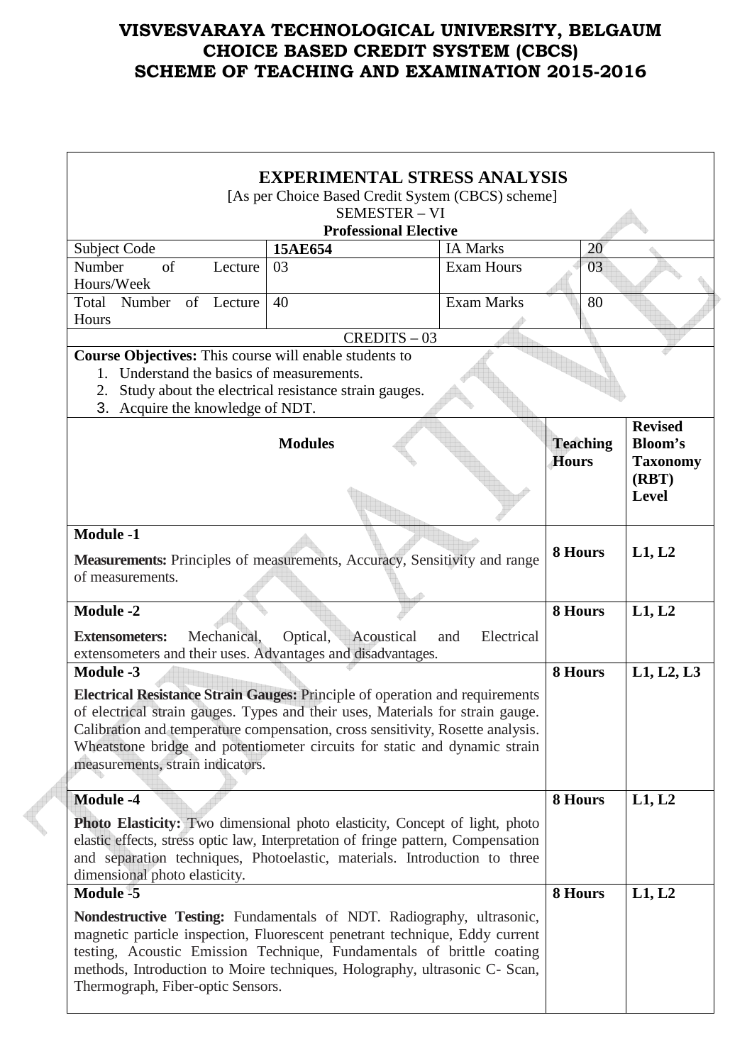|                                                                                                                                                     |             | [As per Choice Based Credit System (CBCS) scheme]    |                              | <b>EXPERIMENTAL STRESS ANALYSIS</b> |                 |    |                 |
|-----------------------------------------------------------------------------------------------------------------------------------------------------|-------------|------------------------------------------------------|------------------------------|-------------------------------------|-----------------|----|-----------------|
|                                                                                                                                                     |             |                                                      | <b>SEMESTER - VI</b>         |                                     |                 |    |                 |
|                                                                                                                                                     |             |                                                      | <b>Professional Elective</b> |                                     |                 |    |                 |
| Subject Code                                                                                                                                        |             | 15AE654                                              |                              | <b>IA Marks</b>                     |                 | 20 |                 |
| Number<br>of                                                                                                                                        | Lecture     | 03                                                   |                              | <b>Exam Hours</b>                   |                 | 03 |                 |
| Hours/Week                                                                                                                                          |             |                                                      |                              |                                     |                 |    |                 |
| Total<br>Number of Lecture                                                                                                                          |             | 40                                                   |                              | <b>Exam Marks</b>                   |                 | 80 |                 |
| Hours                                                                                                                                               |             |                                                      |                              |                                     |                 |    |                 |
|                                                                                                                                                     |             |                                                      | $CREDITS - 03$               |                                     |                 |    |                 |
| Course Objectives: This course will enable students to                                                                                              |             |                                                      |                              |                                     |                 |    |                 |
| 1. Understand the basics of measurements.<br>2.                                                                                                     |             | Study about the electrical resistance strain gauges. |                              |                                     |                 |    |                 |
| 3. Acquire the knowledge of NDT.                                                                                                                    |             |                                                      |                              |                                     |                 |    |                 |
|                                                                                                                                                     |             |                                                      |                              |                                     |                 |    | <b>Revised</b>  |
|                                                                                                                                                     |             | <b>Modules</b>                                       |                              |                                     | <b>Teaching</b> |    | <b>Bloom's</b>  |
|                                                                                                                                                     |             |                                                      |                              |                                     | <b>Hours</b>    |    | <b>Taxonomy</b> |
|                                                                                                                                                     |             |                                                      |                              |                                     |                 |    | (RBT)           |
|                                                                                                                                                     |             |                                                      |                              |                                     |                 |    | <b>Level</b>    |
|                                                                                                                                                     |             |                                                      |                              |                                     |                 |    |                 |
| <b>Module -1</b>                                                                                                                                    |             |                                                      |                              |                                     |                 |    |                 |
| Measurements: Principles of measurements, Accuracy, Sensitivity and range                                                                           |             |                                                      |                              |                                     | 8 Hours         |    | L1, L2          |
| of measurements.                                                                                                                                    |             |                                                      |                              |                                     |                 |    |                 |
|                                                                                                                                                     |             |                                                      |                              |                                     |                 |    |                 |
| <b>Module -2</b>                                                                                                                                    |             |                                                      |                              |                                     |                 |    |                 |
|                                                                                                                                                     |             |                                                      |                              |                                     | 8 Hours         |    | L1, L2          |
| <b>Extensometers:</b>                                                                                                                               | Mechanical, | Optical,                                             | Acoustical                   | Electrical<br>and                   |                 |    |                 |
| extensometers and their uses. Advantages and disadvantages.                                                                                         |             |                                                      |                              |                                     |                 |    |                 |
| <b>Module -3</b>                                                                                                                                    |             |                                                      |                              |                                     | 8 Hours         |    |                 |
| Electrical Resistance Strain Gauges: Principle of operation and requirements                                                                        |             |                                                      |                              |                                     |                 |    |                 |
| of electrical strain gauges. Types and their uses, Materials for strain gauge.                                                                      |             |                                                      |                              |                                     |                 |    |                 |
| Calibration and temperature compensation, cross sensitivity, Rosette analysis.                                                                      |             |                                                      |                              |                                     |                 |    |                 |
| Wheatstone bridge and potentiometer circuits for static and dynamic strain                                                                          |             |                                                      |                              |                                     |                 |    |                 |
| measurements, strain indicators.                                                                                                                    |             |                                                      |                              |                                     |                 |    |                 |
|                                                                                                                                                     |             |                                                      |                              |                                     |                 |    |                 |
| <b>Module -4</b>                                                                                                                                    |             |                                                      |                              |                                     | 8 Hours         |    | L1, L2          |
| <b>Photo Elasticity:</b> Two dimensional photo elasticity, Concept of light, photo                                                                  |             |                                                      |                              |                                     |                 |    |                 |
| elastic effects, stress optic law, Interpretation of fringe pattern, Compensation                                                                   |             |                                                      |                              |                                     |                 |    |                 |
| and separation techniques, Photoelastic, materials. Introduction to three                                                                           |             |                                                      |                              |                                     |                 |    |                 |
| dimensional photo elasticity.                                                                                                                       |             |                                                      |                              |                                     |                 |    |                 |
| <b>Module -5</b>                                                                                                                                    |             |                                                      |                              |                                     | 8 Hours         |    | L1, L2          |
| Nondestructive Testing: Fundamentals of NDT. Radiography, ultrasonic,                                                                               |             |                                                      |                              |                                     |                 |    | L1, L2, L3      |
| magnetic particle inspection, Fluorescent penetrant technique, Eddy current                                                                         |             |                                                      |                              |                                     |                 |    |                 |
| testing, Acoustic Emission Technique, Fundamentals of brittle coating<br>methods, Introduction to Moire techniques, Holography, ultrasonic C- Scan, |             |                                                      |                              |                                     |                 |    |                 |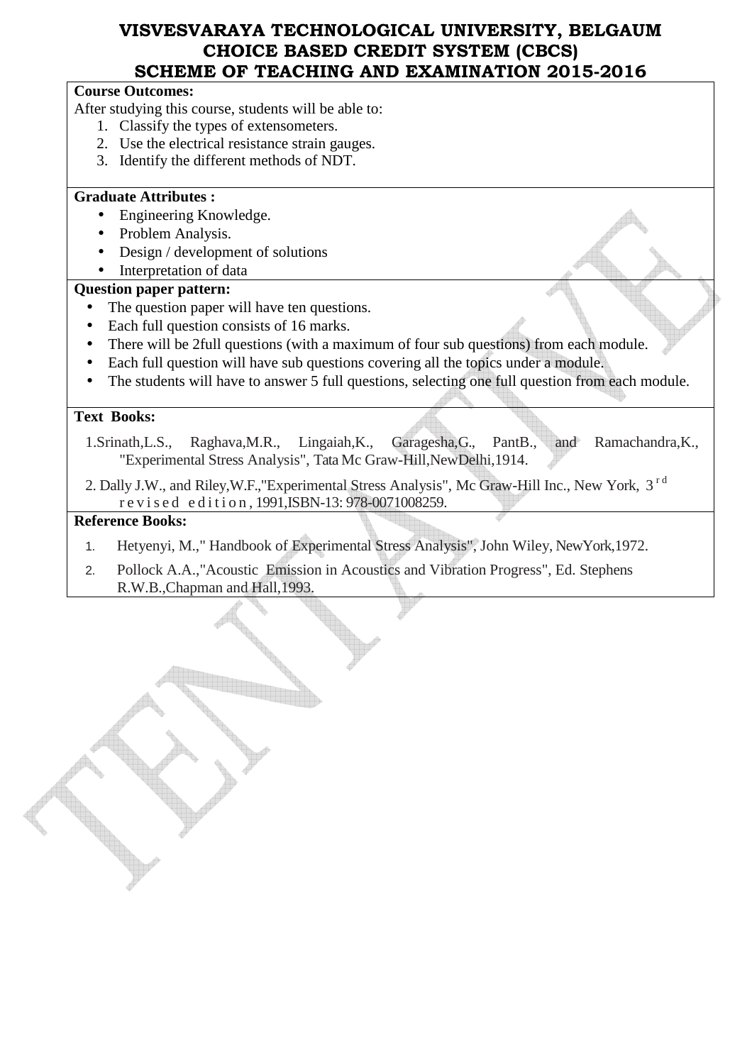## **Course Outcomes:**

After studying this course, students will be able to:

- 1. Classify the types of extensometers.
- 2. Use the electrical resistance strain gauges.
- 3. Identify the different methods of NDT.

### **Graduate Attributes :**

- Engineering Knowledge.
- Problem Analysis.
- Design / development of solutions
- Interpretation of data

### **Question paper pattern:**

- The question paper will have ten questions.
- Each full question consists of 16 marks.
- There will be 2full questions (with a maximum of four sub questions) from each module.
- Each full question will have sub questions covering all the topics under a module.
- The students will have to answer 5 full questions, selecting one full question from each module.

#### **Text Books:**

- 1.Srinath,L.S., Raghava,M.R., Lingaiah,K., Garagesha,G., PantB., and Ramachandra,K., "Experimental Stress Analysis", Tata Mc Graw-Hill,NewDelhi,1914.
- 2. Dally J.W., and Riley, W.F., "Experimental Stress Analysis", Mc Graw-Hill Inc., New York, 3<sup>rd</sup> r e v i s e d e d i t i o n , 1991,ISBN-13: 978-0071008259.

## **Reference Books:**

- 1. Hetyenyi, M.," Handbook of Experimental Stress Analysis", John Wiley, NewYork,1972.
- 2. Pollock A.A.,"Acoustic Emission in Acoustics and Vibration Progress", Ed. Stephens R.W.B.,Chapman and Hall,1993.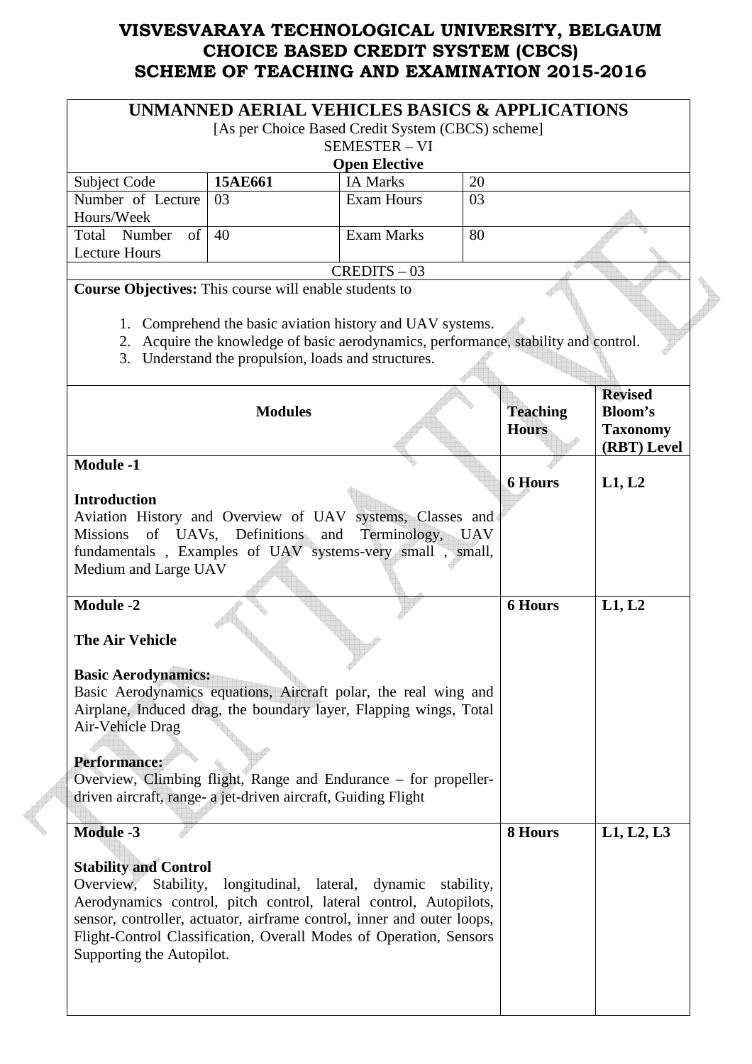|                                                                                                                                                                                                                                                                                                                                                                                            | UNMANNED AERIAL VEHICLES BASICS & APPLICATIONS                                                                                                                                                          |                                         |                                 |                                                  |  |  |
|--------------------------------------------------------------------------------------------------------------------------------------------------------------------------------------------------------------------------------------------------------------------------------------------------------------------------------------------------------------------------------------------|---------------------------------------------------------------------------------------------------------------------------------------------------------------------------------------------------------|-----------------------------------------|---------------------------------|--------------------------------------------------|--|--|
| [As per Choice Based Credit System (CBCS) scheme]                                                                                                                                                                                                                                                                                                                                          |                                                                                                                                                                                                         |                                         |                                 |                                                  |  |  |
|                                                                                                                                                                                                                                                                                                                                                                                            |                                                                                                                                                                                                         | <b>SEMESTER - VI</b>                    |                                 |                                                  |  |  |
|                                                                                                                                                                                                                                                                                                                                                                                            |                                                                                                                                                                                                         | <b>Open Elective</b><br><b>IA Marks</b> | 20                              |                                                  |  |  |
| Subject Code<br>Number of Lecture                                                                                                                                                                                                                                                                                                                                                          | 15AE661<br>03                                                                                                                                                                                           | <b>Exam Hours</b>                       | 03                              |                                                  |  |  |
| Hours/Week                                                                                                                                                                                                                                                                                                                                                                                 |                                                                                                                                                                                                         |                                         |                                 |                                                  |  |  |
| Total Number<br>of                                                                                                                                                                                                                                                                                                                                                                         | 40                                                                                                                                                                                                      | <b>Exam Marks</b>                       | 80                              |                                                  |  |  |
| <b>Lecture Hours</b>                                                                                                                                                                                                                                                                                                                                                                       |                                                                                                                                                                                                         |                                         |                                 |                                                  |  |  |
|                                                                                                                                                                                                                                                                                                                                                                                            |                                                                                                                                                                                                         | $CREDITS - 03$                          |                                 |                                                  |  |  |
| Course Objectives: This course will enable students to                                                                                                                                                                                                                                                                                                                                     | 1. Comprehend the basic aviation history and UAV systems.<br>2. Acquire the knowledge of basic aerodynamics, performance, stability and control.<br>3. Understand the propulsion, loads and structures. |                                         |                                 |                                                  |  |  |
|                                                                                                                                                                                                                                                                                                                                                                                            |                                                                                                                                                                                                         |                                         |                                 | <b>Revised</b>                                   |  |  |
|                                                                                                                                                                                                                                                                                                                                                                                            | <b>Modules</b>                                                                                                                                                                                          |                                         | <b>Teaching</b><br><b>Hours</b> | <b>Bloom's</b><br><b>Taxonomy</b><br>(RBT) Level |  |  |
| <b>Module -1</b>                                                                                                                                                                                                                                                                                                                                                                           |                                                                                                                                                                                                         |                                         |                                 |                                                  |  |  |
| <b>Introduction</b>                                                                                                                                                                                                                                                                                                                                                                        |                                                                                                                                                                                                         |                                         | <b>6 Hours</b>                  | L1, L2                                           |  |  |
| Aviation History and Overview of UAV systems, Classes and<br><b>Missions</b><br>fundamentals, Examples of UAV systems-very small, small,<br>Medium and Large UAV                                                                                                                                                                                                                           | of UAVs, Definitions and                                                                                                                                                                                | Terminology, UAV                        |                                 |                                                  |  |  |
| Module $-2$<br><b>The Air Vehicle</b><br><b>Basic Aerodynamics:</b><br>Basic Aerodynamics equations, Aircraft polar, the real wing and<br>Airplane, Induced drag, the boundary layer, Flapping wings, Total<br>Air-Vehicle Drag<br><b>Performance:</b><br>Overview, Climbing flight, Range and Endurance – for propeller-<br>driven aircraft, range- a jet-driven aircraft, Guiding Flight |                                                                                                                                                                                                         |                                         | <b>6 Hours</b>                  | L1, L2                                           |  |  |
| <b>Module -3</b><br><b>Stability and Control</b><br>Overview, Stability,<br>Aerodynamics control, pitch control, lateral control, Autopilots,<br>sensor, controller, actuator, airframe control, inner and outer loops,<br>Flight-Control Classification, Overall Modes of Operation, Sensors<br>Supporting the Autopilot.                                                                 | longitudinal, lateral, dynamic                                                                                                                                                                          | stability,                              | 8 Hours                         | L1, L2, L3                                       |  |  |

 $\overline{\phantom{a}}$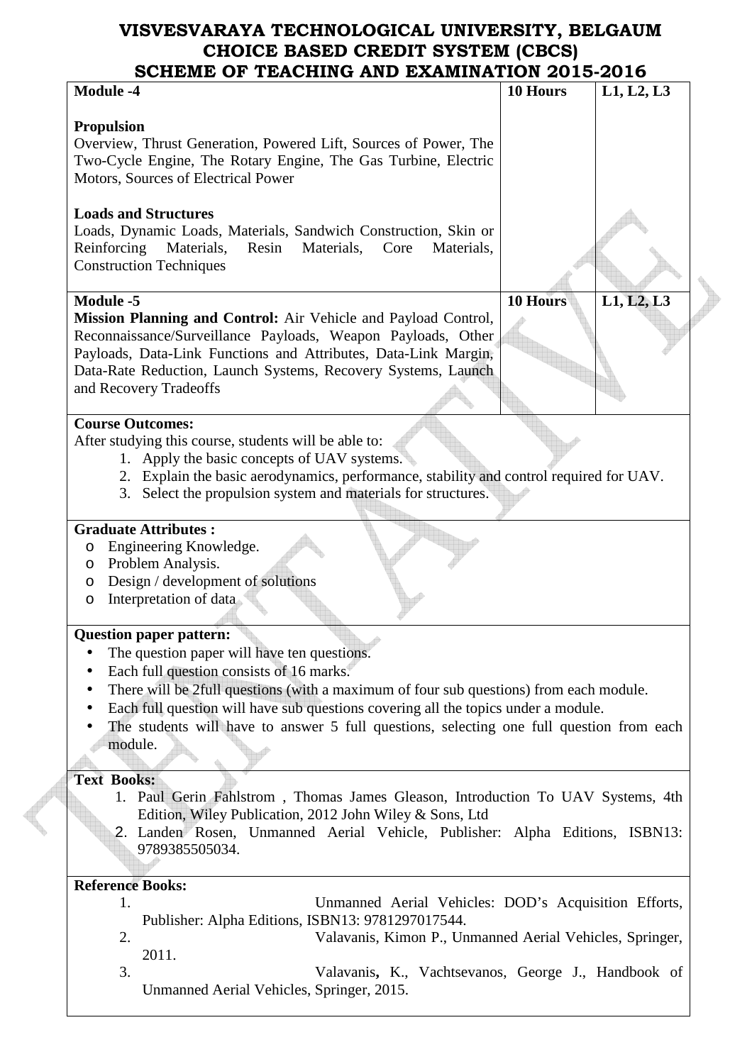# **VISVESVARAYA TECHNOLOGICAL UNIVERSITY, BELGAUM CHOICE BASED CREDIT SYSTEM (CBCS)**

| SCHEME OF TEACHING AND EXAMINATION 2015-2016                                                                                                                                                               |                 |            |
|------------------------------------------------------------------------------------------------------------------------------------------------------------------------------------------------------------|-----------------|------------|
| <b>Module -4</b>                                                                                                                                                                                           | 10 Hours        | L1, L2, L3 |
|                                                                                                                                                                                                            |                 |            |
| <b>Propulsion</b><br>Overview, Thrust Generation, Powered Lift, Sources of Power, The                                                                                                                      |                 |            |
| Two-Cycle Engine, The Rotary Engine, The Gas Turbine, Electric                                                                                                                                             |                 |            |
| Motors, Sources of Electrical Power                                                                                                                                                                        |                 |            |
|                                                                                                                                                                                                            |                 |            |
| <b>Loads and Structures</b><br>Loads, Dynamic Loads, Materials, Sandwich Construction, Skin or<br>Reinforcing<br>Resin<br>Materials,<br>Materials,<br>Core<br>Materials,<br><b>Construction Techniques</b> |                 |            |
| <b>Module -5</b>                                                                                                                                                                                           | <b>10 Hours</b> |            |
|                                                                                                                                                                                                            |                 | L1, L2, L3 |
| Mission Planning and Control: Air Vehicle and Payload Control,<br>Reconnaissance/Surveillance Payloads, Weapon Payloads, Other                                                                             |                 |            |
| Payloads, Data-Link Functions and Attributes, Data-Link Margin,                                                                                                                                            |                 |            |
| Data-Rate Reduction, Launch Systems, Recovery Systems, Launch                                                                                                                                              |                 |            |
| and Recovery Tradeoffs                                                                                                                                                                                     |                 |            |
|                                                                                                                                                                                                            |                 |            |
| <b>Course Outcomes:</b>                                                                                                                                                                                    |                 |            |
| After studying this course, students will be able to:                                                                                                                                                      |                 |            |
|                                                                                                                                                                                                            |                 |            |
| 1. Apply the basic concepts of UAV systems.                                                                                                                                                                |                 |            |
| 2. Explain the basic aerodynamics, performance, stability and control required for UAV.                                                                                                                    |                 |            |
| Select the propulsion system and materials for structures.<br>3.                                                                                                                                           |                 |            |
|                                                                                                                                                                                                            |                 |            |
| <b>Graduate Attributes:</b>                                                                                                                                                                                |                 |            |
| Engineering Knowledge.<br>$\circ$                                                                                                                                                                          |                 |            |
| Problem Analysis.<br>O                                                                                                                                                                                     |                 |            |
| Design / development of solutions<br>O                                                                                                                                                                     |                 |            |
| Interpretation of data<br>$\circ$                                                                                                                                                                          |                 |            |
|                                                                                                                                                                                                            |                 |            |
| <b>Question paper pattern:</b>                                                                                                                                                                             |                 |            |
| The question paper will have ten questions.<br>$\bullet$                                                                                                                                                   |                 |            |
| Each full question consists of 16 marks.<br>$\bullet$                                                                                                                                                      |                 |            |
| There will be 2full questions (with a maximum of four sub questions) from each module.                                                                                                                     |                 |            |
| Each full question will have sub questions covering all the topics under a module.                                                                                                                         |                 |            |
| The students will have to answer 5 full questions, selecting one full question from each                                                                                                                   |                 |            |
| module.                                                                                                                                                                                                    |                 |            |
|                                                                                                                                                                                                            |                 |            |
| <b>Text Books:</b>                                                                                                                                                                                         |                 |            |
| 1. Paul Gerin Fahlstrom, Thomas James Gleason, Introduction To UAV Systems, 4th                                                                                                                            |                 |            |
| Edition, Wiley Publication, 2012 John Wiley & Sons, Ltd                                                                                                                                                    |                 |            |
| 2. Landen Rosen, Unmanned Aerial Vehicle, Publisher: Alpha Editions, ISBN13:                                                                                                                               |                 |            |
| 9789385505034.                                                                                                                                                                                             |                 |            |
|                                                                                                                                                                                                            |                 |            |
| <b>Reference Books:</b>                                                                                                                                                                                    |                 |            |
| 1.                                                                                                                                                                                                         |                 |            |
| Unmanned Aerial Vehicles: DOD's Acquisition Efforts,                                                                                                                                                       |                 |            |
| Publisher: Alpha Editions, ISBN13: 9781297017544.                                                                                                                                                          |                 |            |
| 2.<br>Valavanis, Kimon P., Unmanned Aerial Vehicles, Springer,                                                                                                                                             |                 |            |
| 2011.                                                                                                                                                                                                      |                 |            |
| 3.<br>Valavanis, K., Vachtsevanos, George J., Handbook of                                                                                                                                                  |                 |            |
| Unmanned Aerial Vehicles, Springer, 2015.                                                                                                                                                                  |                 |            |
|                                                                                                                                                                                                            |                 |            |

**Contract Contract Contract**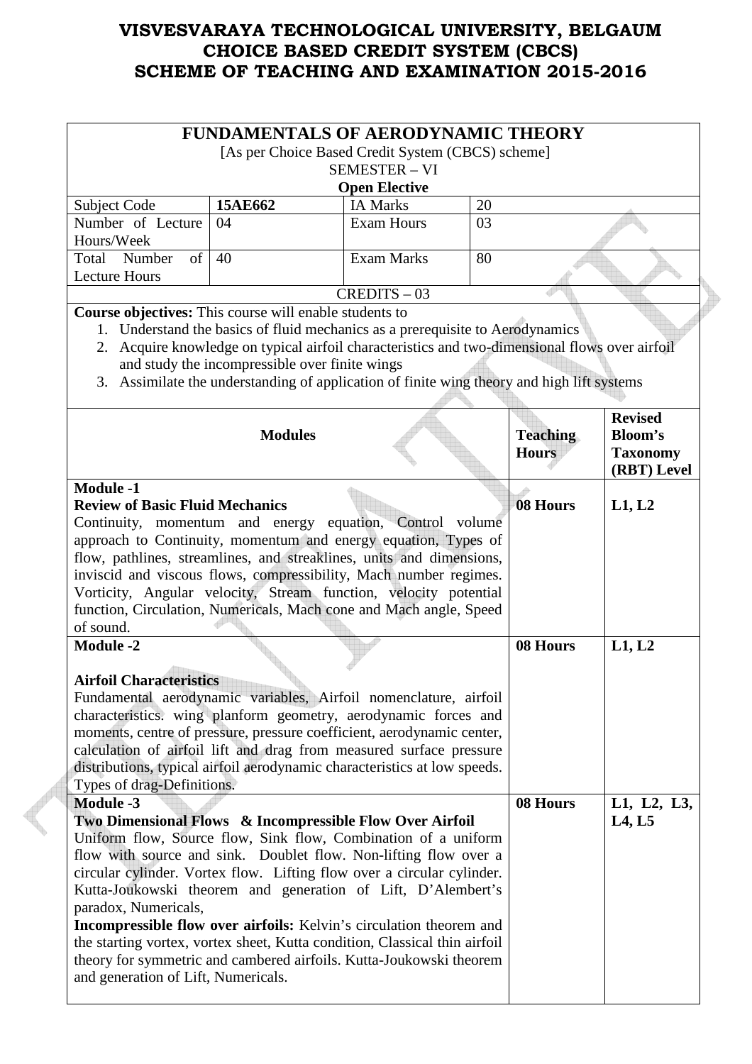|                                                                                                                                                                                                                                                                                                                                                                                                                                                                                                                                                                                                                                                                                              | <b>FUNDAMENTALS OF AERODYNAMIC THEORY</b>                                                                                                                                                                                                                                                                                       | [As per Choice Based Credit System (CBCS) scheme]<br><b>SEMESTER - VI</b><br><b>Open Elective</b> |    |                                 |                                                                    |
|----------------------------------------------------------------------------------------------------------------------------------------------------------------------------------------------------------------------------------------------------------------------------------------------------------------------------------------------------------------------------------------------------------------------------------------------------------------------------------------------------------------------------------------------------------------------------------------------------------------------------------------------------------------------------------------------|---------------------------------------------------------------------------------------------------------------------------------------------------------------------------------------------------------------------------------------------------------------------------------------------------------------------------------|---------------------------------------------------------------------------------------------------|----|---------------------------------|--------------------------------------------------------------------|
| Subject Code                                                                                                                                                                                                                                                                                                                                                                                                                                                                                                                                                                                                                                                                                 | 15AE662                                                                                                                                                                                                                                                                                                                         | <b>IA Marks</b>                                                                                   | 20 |                                 |                                                                    |
| Number of Lecture<br>Hours/Week                                                                                                                                                                                                                                                                                                                                                                                                                                                                                                                                                                                                                                                              | 04                                                                                                                                                                                                                                                                                                                              | <b>Exam Hours</b>                                                                                 | 03 |                                 |                                                                    |
| of<br>Total Number<br>Lecture Hours                                                                                                                                                                                                                                                                                                                                                                                                                                                                                                                                                                                                                                                          | 40                                                                                                                                                                                                                                                                                                                              | <b>Exam Marks</b>                                                                                 | 80 |                                 |                                                                    |
|                                                                                                                                                                                                                                                                                                                                                                                                                                                                                                                                                                                                                                                                                              |                                                                                                                                                                                                                                                                                                                                 | $CREDITS - 03$                                                                                    |    |                                 |                                                                    |
| Course objectives: This course will enable students to                                                                                                                                                                                                                                                                                                                                                                                                                                                                                                                                                                                                                                       | 1. Understand the basics of fluid mechanics as a prerequisite to Aerodynamics<br>2. Acquire knowledge on typical airfoil characteristics and two-dimensional flows over airfoil<br>and study the incompressible over finite wings<br>3. Assimilate the understanding of application of finite wing theory and high lift systems |                                                                                                   |    |                                 |                                                                    |
|                                                                                                                                                                                                                                                                                                                                                                                                                                                                                                                                                                                                                                                                                              | <b>Modules</b>                                                                                                                                                                                                                                                                                                                  |                                                                                                   |    | <b>Teaching</b><br><b>Hours</b> | <b>Revised</b><br><b>Bloom's</b><br><b>Taxonomy</b><br>(RBT) Level |
| <b>Review of Basic Fluid Mechanics</b><br>Continuity, momentum and energy equation, Control volume<br>approach to Continuity, momentum and energy equation, Types of<br>flow, pathlines, streamlines, and streaklines, units and dimensions,<br>inviscid and viscous flows, compressibility, Mach number regimes.<br>Vorticity, Angular velocity, Stream function, velocity potential<br>function, Circulation, Numericals, Mach cone and Mach angle, Speed<br>of sound.                                                                                                                                                                                                                     |                                                                                                                                                                                                                                                                                                                                 |                                                                                                   |    | 08 Hours                        | L1, L2                                                             |
| <b>Module -2</b><br><b>Airfoil Characteristics</b><br>Fundamental aerodynamic variables, Airfoil nomenclature, airfoil<br>characteristics. wing planform geometry, aerodynamic forces and<br>moments, centre of pressure, pressure coefficient, aerodynamic center,<br>calculation of airfoil lift and drag from measured surface pressure<br>distributions, typical airfoil aerodynamic characteristics at low speeds.                                                                                                                                                                                                                                                                      |                                                                                                                                                                                                                                                                                                                                 |                                                                                                   |    | 08 Hours                        | L1, L2                                                             |
| Types of drag-Definitions.<br><b>Module -3</b><br>Two Dimensional Flows & Incompressible Flow Over Airfoil<br>Uniform flow, Source flow, Sink flow, Combination of a uniform<br>flow with source and sink. Doublet flow. Non-lifting flow over a<br>circular cylinder. Vortex flow. Lifting flow over a circular cylinder.<br>Kutta-Joukowski theorem and generation of Lift, D'Alembert's<br>paradox, Numericals,<br><b>Incompressible flow over airfoils:</b> Kelvin's circulation theorem and<br>the starting vortex, vortex sheet, Kutta condition, Classical thin airfoil<br>theory for symmetric and cambered airfoils. Kutta-Joukowski theorem<br>and generation of Lift, Numericals. |                                                                                                                                                                                                                                                                                                                                 |                                                                                                   |    | 08 Hours                        | L1, L2, L3,<br>L4, L5                                              |

**ANDRO**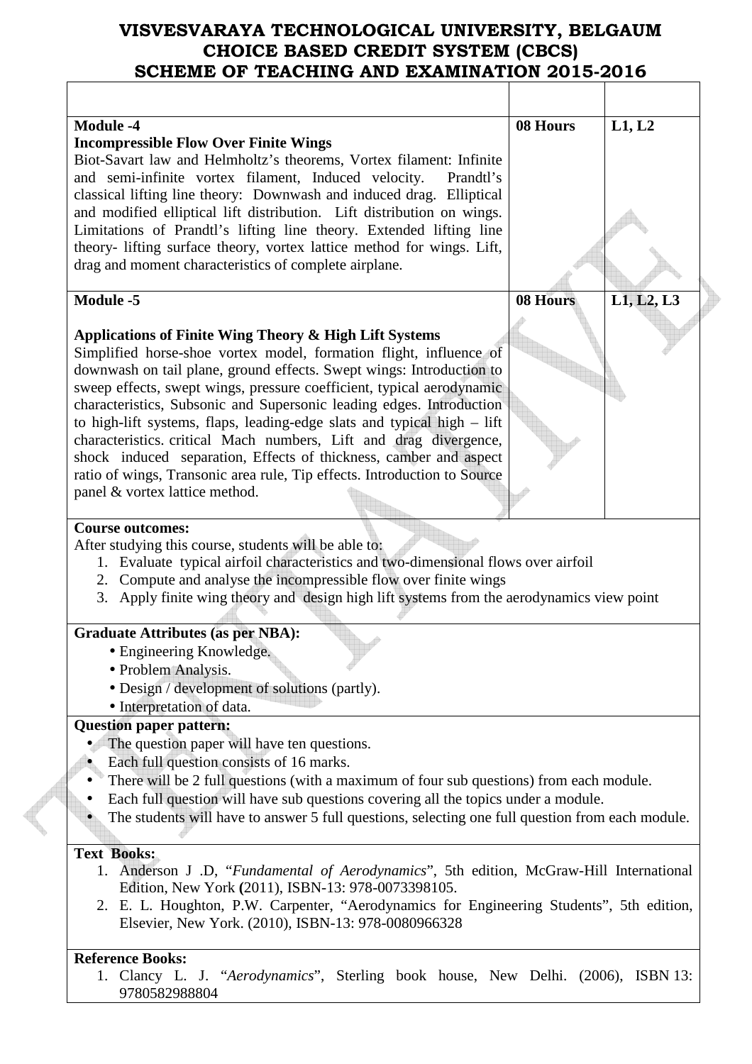| <b>Module -4</b><br><b>Incompressible Flow Over Finite Wings</b><br>Biot-Savart law and Helmholtz's theorems, Vortex filament: Infinite<br>and semi-infinite vortex filament, Induced velocity.<br>Prandtl's<br>classical lifting line theory: Downwash and induced drag. Elliptical<br>and modified elliptical lift distribution. Lift distribution on wings.<br>Limitations of Prandtl's lifting line theory. Extended lifting line<br>theory- lifting surface theory, vortex lattice method for wings. Lift,<br>drag and moment characteristics of complete airplane.                                                                                                                                                                                              | 08 Hours | L1, L2     |
|-----------------------------------------------------------------------------------------------------------------------------------------------------------------------------------------------------------------------------------------------------------------------------------------------------------------------------------------------------------------------------------------------------------------------------------------------------------------------------------------------------------------------------------------------------------------------------------------------------------------------------------------------------------------------------------------------------------------------------------------------------------------------|----------|------------|
| <b>Module -5</b><br>Applications of Finite Wing Theory & High Lift Systems<br>Simplified horse-shoe vortex model, formation flight, influence of<br>downwash on tail plane, ground effects. Swept wings: Introduction to<br>sweep effects, swept wings, pressure coefficient, typical aerodynamic<br>characteristics, Subsonic and Supersonic leading edges. Introduction<br>to high-lift systems, flaps, leading-edge slats and typical high – lift<br>characteristics. critical Mach numbers, Lift and drag divergence,<br>shock induced separation, Effects of thickness, camber and aspect<br>ratio of wings, Transonic area rule, Tip effects. Introduction to Source<br>panel & vortex lattice method.                                                          | 08 Hours | L1, L2, L3 |
| <b>Course outcomes:</b><br>After studying this course, students will be able to:<br>1. Evaluate typical airfoil characteristics and two-dimensional flows over airfoil<br>2. Compute and analyse the incompressible flow over finite wings<br>3. Apply finite wing theory and design high lift systems from the aerodynamics view point<br><b>Graduate Attributes (as per NBA):</b><br>• Engineering Knowledge.<br>• Problem Analysis.<br>• Design / development of solutions (partly).                                                                                                                                                                                                                                                                               |          |            |
| • Interpretation of data.<br><b>Question paper pattern:</b><br>The question paper will have ten questions.<br>Each full question consists of 16 marks.<br>There will be 2 full questions (with a maximum of four sub questions) from each module.<br>Each full question will have sub questions covering all the topics under a module.<br>The students will have to answer 5 full questions, selecting one full question from each module.<br><b>Text Books:</b><br>1. Anderson J .D, "Fundamental of Aerodynamics", 5th edition, McGraw-Hill International<br>Edition, New York (2011), ISBN-13: 978-0073398105.<br>2. E. L. Houghton, P.W. Carpenter, "Aerodynamics for Engineering Students", 5th edition,<br>Elsevier, New York. (2010), ISBN-13: 978-0080966328 |          |            |
| <b>Reference Books:</b><br>1. Clancy L. J. "Aerodynamics", Sterling book house, New Delhi. (2006), ISBN 13:                                                                                                                                                                                                                                                                                                                                                                                                                                                                                                                                                                                                                                                           |          |            |

9780582988804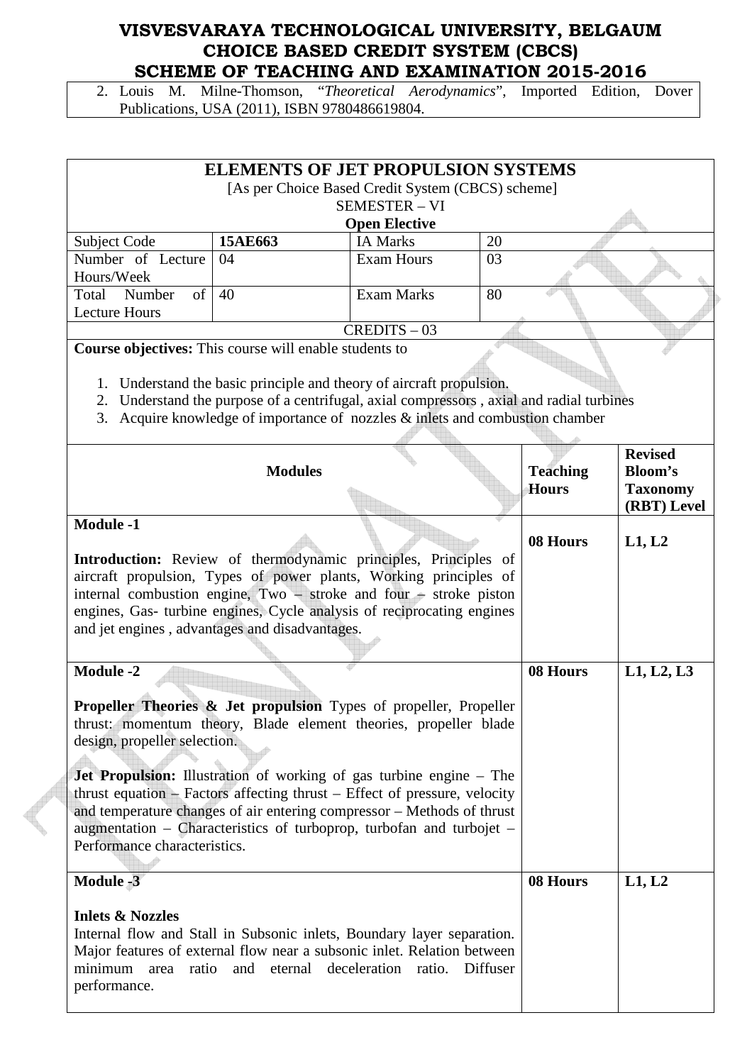2. Louis M. Milne-Thomson, "*Theoretical Aerodynamics*", Imported Edition, Dover Publications, USA (2011), ISBN 9780486619804.

| <b>ELEMENTS OF JET PROPULSION SYSTEMS</b><br>[As per Choice Based Credit System (CBCS) scheme] |         |                      |    |  |  |  |
|------------------------------------------------------------------------------------------------|---------|----------------------|----|--|--|--|
| <b>SEMESTER - VI</b>                                                                           |         |                      |    |  |  |  |
|                                                                                                |         | <b>Open Elective</b> |    |  |  |  |
| Subject Code                                                                                   | 15AE663 | <b>IA Marks</b>      | 20 |  |  |  |
| Number of Lecture                                                                              | 04      | <b>Exam Hours</b>    | 03 |  |  |  |
| Hours/Week                                                                                     |         |                      |    |  |  |  |
| of<br>Number<br>Total                                                                          | 40      | Exam Marks           | 80 |  |  |  |
| Lecture Hours                                                                                  |         |                      |    |  |  |  |
|                                                                                                |         | $CREDITS - 03$       |    |  |  |  |

**Course objectives:** This course will enable students to

- 1. Understand the basic principle and theory of aircraft propulsion.
- 2. Understand the purpose of a centrifugal, axial compressors , axial and radial turbines
- 3. Acquire knowledge of importance of nozzles & inlets and combustion chamber

| <b>Modules</b>                                                                                                                                                                                                                                                                                                                                                                                                                                                                                                                             | <b>Teaching</b><br><b>Hours</b> | <b>Revised</b><br>Bloom's<br><b>Taxonomy</b><br>(RBT) Level |
|--------------------------------------------------------------------------------------------------------------------------------------------------------------------------------------------------------------------------------------------------------------------------------------------------------------------------------------------------------------------------------------------------------------------------------------------------------------------------------------------------------------------------------------------|---------------------------------|-------------------------------------------------------------|
| <b>Module -1</b><br>Introduction: Review of thermodynamic principles, Principles of<br>aircraft propulsion, Types of power plants, Working principles of<br>internal combustion engine, $Two$ – stroke and four – stroke piston<br>engines, Gas- turbine engines, Cycle analysis of reciprocating engines<br>and jet engines, advantages and disadvantages.                                                                                                                                                                                | 08 Hours                        | L1, L2                                                      |
| <b>Module -2</b><br><b>Propeller Theories &amp; Jet propulsion</b> Types of propeller, Propeller<br>thrust: momentum theory, Blade element theories, propeller blade<br>design, propeller selection.<br>Jet Propulsion: Illustration of working of gas turbine engine - The<br>thrust equation – Factors affecting thrust – Effect of pressure, velocity<br>and temperature changes of air entering compressor - Methods of thrust<br>augmentation – Characteristics of turboprop, turbofan and turbojet –<br>Performance characteristics. | 08 Hours                        | L1, L2, L3                                                  |
| <b>Module -3</b><br><b>Inlets &amp; Nozzles</b><br>Internal flow and Stall in Subsonic inlets, Boundary layer separation.<br>Major features of external flow near a subsonic inlet. Relation between<br>area ratio<br>and eternal deceleration ratio.<br>minimum<br>Diffuser<br>performance.                                                                                                                                                                                                                                               | 08 Hours                        | L1, L2                                                      |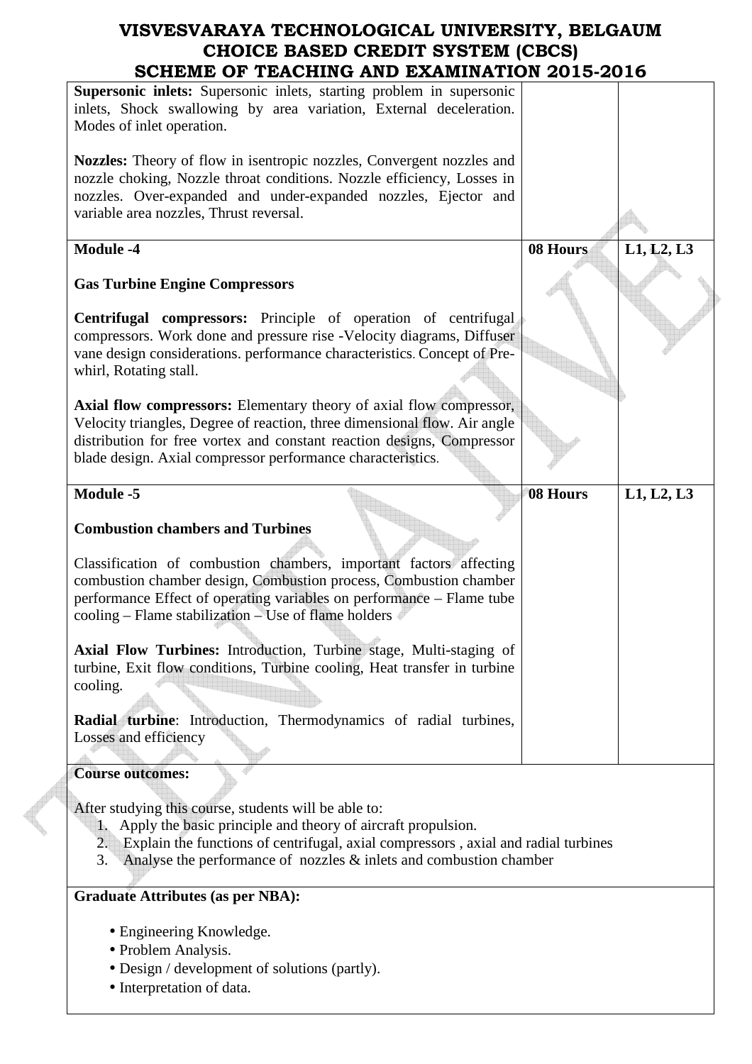| SCHEME OF TEACHING AND EXAMINATION 2015-2016                                                                                                                                                                                                                                                       |          |            |
|----------------------------------------------------------------------------------------------------------------------------------------------------------------------------------------------------------------------------------------------------------------------------------------------------|----------|------------|
| Supersonic inlets: Supersonic inlets, starting problem in supersonic<br>inlets, Shock swallowing by area variation, External deceleration.<br>Modes of inlet operation.                                                                                                                            |          |            |
| <b>Nozzles:</b> Theory of flow in isentropic nozzles, Convergent nozzles and<br>nozzle choking, Nozzle throat conditions. Nozzle efficiency, Losses in<br>nozzles. Over-expanded and under-expanded nozzles, Ejector and<br>variable area nozzles, Thrust reversal.                                |          |            |
| <b>Module -4</b>                                                                                                                                                                                                                                                                                   | 08 Hours | L1, L2, L3 |
| <b>Gas Turbine Engine Compressors</b>                                                                                                                                                                                                                                                              |          |            |
| <b>Centrifugal compressors:</b> Principle of operation of centrifugal<br>compressors. Work done and pressure rise -Velocity diagrams, Diffuser<br>vane design considerations. performance characteristics. Concept of Pre-<br>whirl, Rotating stall.                                               |          |            |
| Axial flow compressors: Elementary theory of axial flow compressor,<br>Velocity triangles, Degree of reaction, three dimensional flow. Air angle<br>distribution for free vortex and constant reaction designs, Compressor<br>blade design. Axial compressor performance characteristics.          |          |            |
| <b>Module -5</b>                                                                                                                                                                                                                                                                                   | 08 Hours | L1, L2, L3 |
| <b>Combustion chambers and Turbines</b>                                                                                                                                                                                                                                                            |          |            |
| Classification of combustion chambers, important factors affecting<br>combustion chamber design, Combustion process, Combustion chamber<br>performance Effect of operating variables on performance - Flame tube<br>cooling - Flame stabilization - Use of flame holders                           |          |            |
| <b>Axial Flow Turbines:</b> Introduction, Turbine stage, Multi-staging of<br>turbine, Exit flow conditions, Turbine cooling, Heat transfer in turbine<br>cooling.                                                                                                                                  |          |            |
| Radial turbine: Introduction, Thermodynamics of radial turbines,<br>Losses and efficiency                                                                                                                                                                                                          |          |            |
| <b>Course outcomes:</b>                                                                                                                                                                                                                                                                            |          |            |
| After studying this course, students will be able to:<br>1. Apply the basic principle and theory of aircraft propulsion.<br>Explain the functions of centrifugal, axial compressors, axial and radial turbines<br>2.<br>Analyse the performance of nozzles $&$ inlets and combustion chamber<br>3. |          |            |
| <b>Graduate Attributes (as per NBA):</b>                                                                                                                                                                                                                                                           |          |            |
| • Engineering Knowledge.<br>• Problem Analysis.<br>• Design / development of solutions (partly).<br>• Interpretation of data.                                                                                                                                                                      |          |            |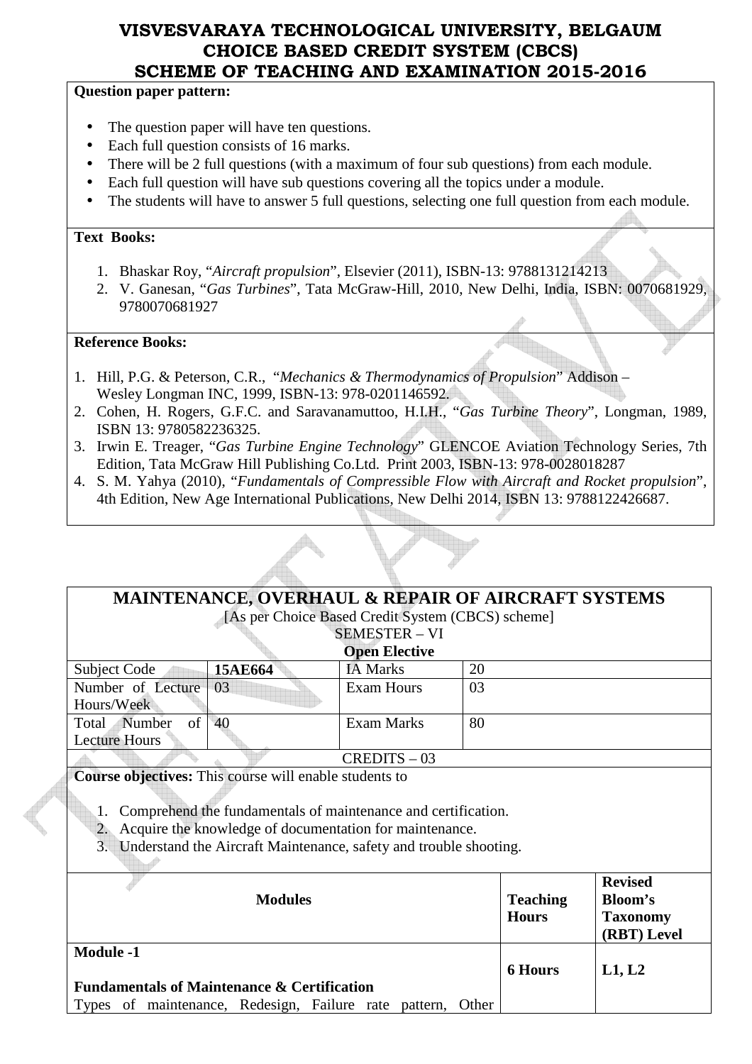### **Question paper pattern:**

- The question paper will have ten questions.
- Each full question consists of 16 marks.
- There will be 2 full questions (with a maximum of four sub questions) from each module.
- Each full question will have sub questions covering all the topics under a module.
- The students will have to answer 5 full questions, selecting one full question from each module.

### **Text Books:**

- 1. Bhaskar Roy, "*Aircraft propulsion*", Elsevier (2011), ISBN-13: 9788131214213
- 2. V. Ganesan, "*Gas Turbines*", Tata McGraw-Hill, 2010, New Delhi, India, ISBN: 0070681929, 9780070681927

### **Reference Books:**

- 1. Hill, P.G. & Peterson, C.R., "*Mechanics & Thermodynamics of Propulsion*" Addison Wesley Longman INC, 1999, ISBN-13: 978-0201146592.
- 2. Cohen, H. Rogers, G.F.C. and Saravanamuttoo, H.I.H., "*Gas Turbine Theory*", Longman, 1989, ISBN 13: 9780582236325.
- 3. Irwin E. Treager, "*Gas Turbine Engine Technology*" GLENCOE Aviation Technology Series, 7th Edition, Tata McGraw Hill Publishing Co.Ltd. Print 2003, ISBN-13: 978-0028018287
- 4. S. M. Yahya (2010), "*Fundamentals of Compressible Flow with Aircraft and Rocket propulsion*", 4th Edition, New Age International Publications, New Delhi 2014, ISBN 13: 9788122426687.

| <b>MAINTENANCE, OVERHAUL &amp; REPAIR OF AIRCRAFT SYSTEMS</b><br>[As per Choice Based Credit System (CBCS) scheme]                                                                                              |                |                      |                                 |                                                                    |
|-----------------------------------------------------------------------------------------------------------------------------------------------------------------------------------------------------------------|----------------|----------------------|---------------------------------|--------------------------------------------------------------------|
| <b>SEMESTER - VI</b>                                                                                                                                                                                            |                |                      |                                 |                                                                    |
|                                                                                                                                                                                                                 |                | <b>Open Elective</b> |                                 |                                                                    |
| <b>Subject Code</b>                                                                                                                                                                                             | 15AE664        | <b>IA Marks</b>      | 20                              |                                                                    |
| Number of Lecture<br>Hours/Week                                                                                                                                                                                 | 03             | <b>Exam Hours</b>    | 03                              |                                                                    |
| of<br>Total Number<br><b>Lecture Hours</b>                                                                                                                                                                      | 40             | Exam Marks           | 80                              |                                                                    |
|                                                                                                                                                                                                                 |                | $CREDITS - 03$       |                                 |                                                                    |
| <b>Course objectives:</b> This course will enable students to                                                                                                                                                   |                |                      |                                 |                                                                    |
| Comprehend the fundamentals of maintenance and certification.<br>1.<br>Acquire the knowledge of documentation for maintenance.<br>2.<br>Understand the Aircraft Maintenance, safety and trouble shooting.<br>3. |                |                      |                                 |                                                                    |
| $Modula 1$                                                                                                                                                                                                      | <b>Modules</b> |                      | <b>Teaching</b><br><b>Hours</b> | <b>Revised</b><br><b>Bloom's</b><br><b>Taxonomy</b><br>(RBT) Level |

**Module -1 Fundamentals of Maintenance & Certification**  Types of maintenance, Redesign, Failure rate pattern, Other **6 Hours L1, L2**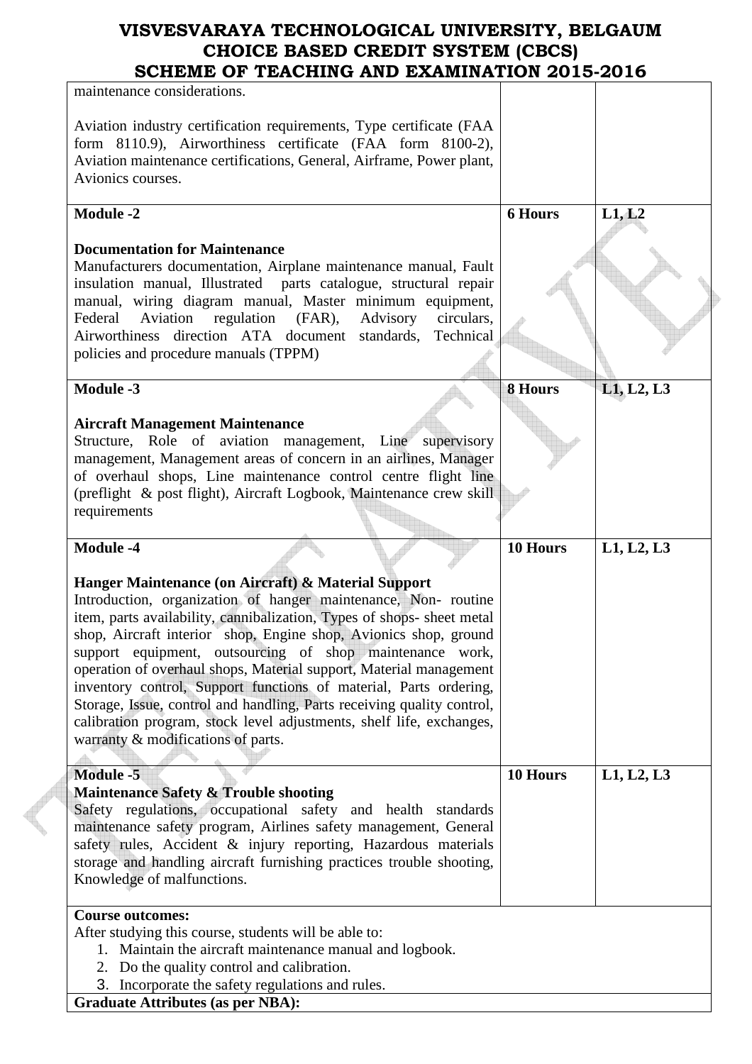| SCHEME OF TEACHING AND EAAMINATION 2013-2010                                                                                                                                                                                                                                                                                                                                                                                                                                                                                                                                                                                                                       |                |            |
|--------------------------------------------------------------------------------------------------------------------------------------------------------------------------------------------------------------------------------------------------------------------------------------------------------------------------------------------------------------------------------------------------------------------------------------------------------------------------------------------------------------------------------------------------------------------------------------------------------------------------------------------------------------------|----------------|------------|
| maintenance considerations.                                                                                                                                                                                                                                                                                                                                                                                                                                                                                                                                                                                                                                        |                |            |
| Aviation industry certification requirements, Type certificate (FAA<br>form 8110.9), Airworthiness certificate (FAA form 8100-2),<br>Aviation maintenance certifications, General, Airframe, Power plant,<br>Avionics courses.                                                                                                                                                                                                                                                                                                                                                                                                                                     |                |            |
| <b>Module -2</b>                                                                                                                                                                                                                                                                                                                                                                                                                                                                                                                                                                                                                                                   | <b>6 Hours</b> | L1, L2     |
| <b>Documentation for Maintenance</b><br>Manufacturers documentation, Airplane maintenance manual, Fault<br>insulation manual, Illustrated parts catalogue, structural repair<br>manual, wiring diagram manual, Master minimum equipment,<br>Aviation<br>regulation (FAR),<br>Advisory<br>circulars,<br>Federal<br>Airworthiness direction ATA document standards, Technical<br>policies and procedure manuals (TPPM)<br><b>Module -3</b>                                                                                                                                                                                                                           | <b>8 Hours</b> | L1, L2, L3 |
| <b>Aircraft Management Maintenance</b><br>Structure, Role of aviation management, Line supervisory<br>management, Management areas of concern in an airlines, Manager<br>of overhaul shops, Line maintenance control centre flight line<br>(preflight & post flight), Aircraft Logbook, Maintenance crew skill<br>requirements                                                                                                                                                                                                                                                                                                                                     |                |            |
| <b>Module -4</b>                                                                                                                                                                                                                                                                                                                                                                                                                                                                                                                                                                                                                                                   | 10 Hours       | L1, L2, L3 |
| Hanger Maintenance (on Aircraft) & Material Support<br>Introduction, organization of hanger maintenance, Non- routine<br>item, parts availability, cannibalization, Types of shops- sheet metal<br>shop, Aircraft interior shop, Engine shop, Avionics shop, ground<br>support equipment, outsourcing of shop maintenance work,<br>operation of overhaul shops, Material support, Material management<br>inventory control, Support functions of material, Parts ordering,<br>Storage, Issue, control and handling, Parts receiving quality control,<br>calibration program, stock level adjustments, shelf life, exchanges,<br>warranty & modifications of parts. |                |            |
| <b>Module -5</b><br><b>Maintenance Safety &amp; Trouble shooting</b><br>Safety regulations, occupational safety and health standards<br>maintenance safety program, Airlines safety management, General<br>safety rules, Accident & injury reporting, Hazardous materials<br>storage and handling aircraft furnishing practices trouble shooting,<br>Knowledge of malfunctions.                                                                                                                                                                                                                                                                                    | 10 Hours       | L1, L2, L3 |
| <b>Course outcomes:</b><br>After studying this course, students will be able to:<br>1. Maintain the aircraft maintenance manual and logbook.<br>2. Do the quality control and calibration.<br>3. Incorporate the safety regulations and rules.<br>$C$ reducto $A$ thibutes (eq non ND $\Lambda$ ).                                                                                                                                                                                                                                                                                                                                                                 |                |            |

**Graduate Attributes (as per NBA):** 

**Contract**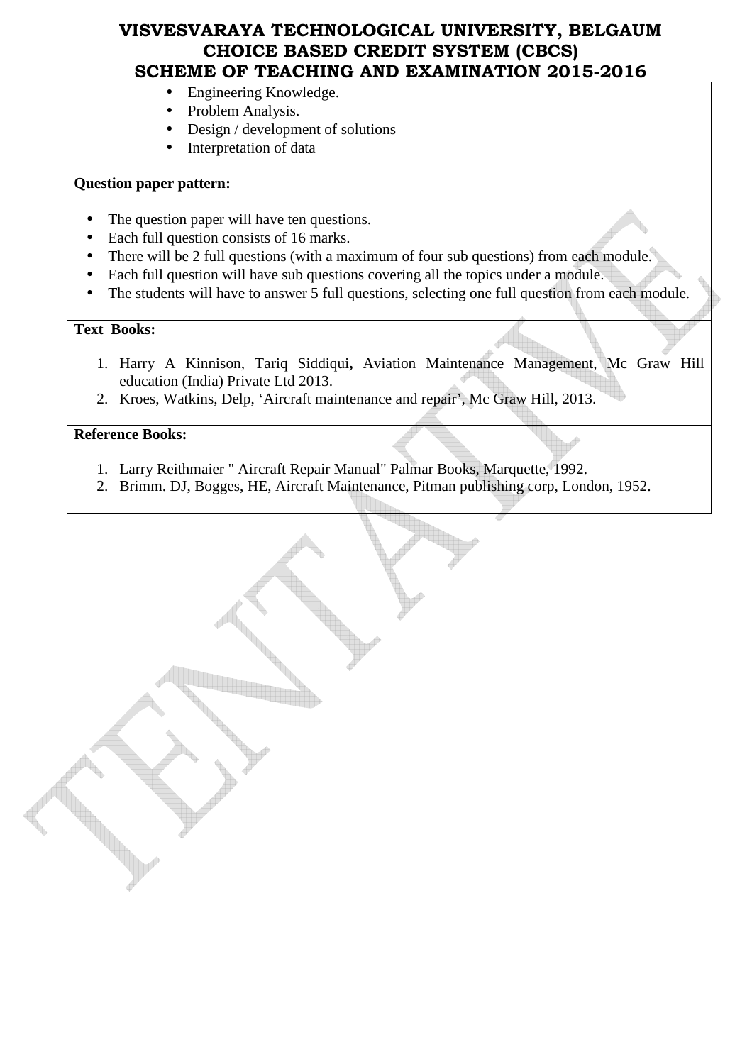- Engineering Knowledge.
- Problem Analysis.
- Design / development of solutions
- Interpretation of data

### **Question paper pattern:**

- The question paper will have ten questions.
- Each full question consists of 16 marks.
- There will be 2 full questions (with a maximum of four sub questions) from each module.
- Each full question will have sub questions covering all the topics under a module.
- The students will have to answer 5 full questions, selecting one full question from each module.

### **Text Books:**

- 1. Harry A Kinnison, Tariq Siddiqui**,** Aviation Maintenance Management, Mc Graw Hill education (India) Private Ltd 2013.
- 2. Kroes, Watkins, Delp, 'Aircraft maintenance and repair', Mc Graw Hill, 2013.

### **Reference Books:**

- 1. Larry Reithmaier " Aircraft Repair Manual" Palmar Books, Marquette, 1992.
- 2. Brimm. DJ, Bogges, HE, Aircraft Maintenance, Pitman publishing corp, London, 1952.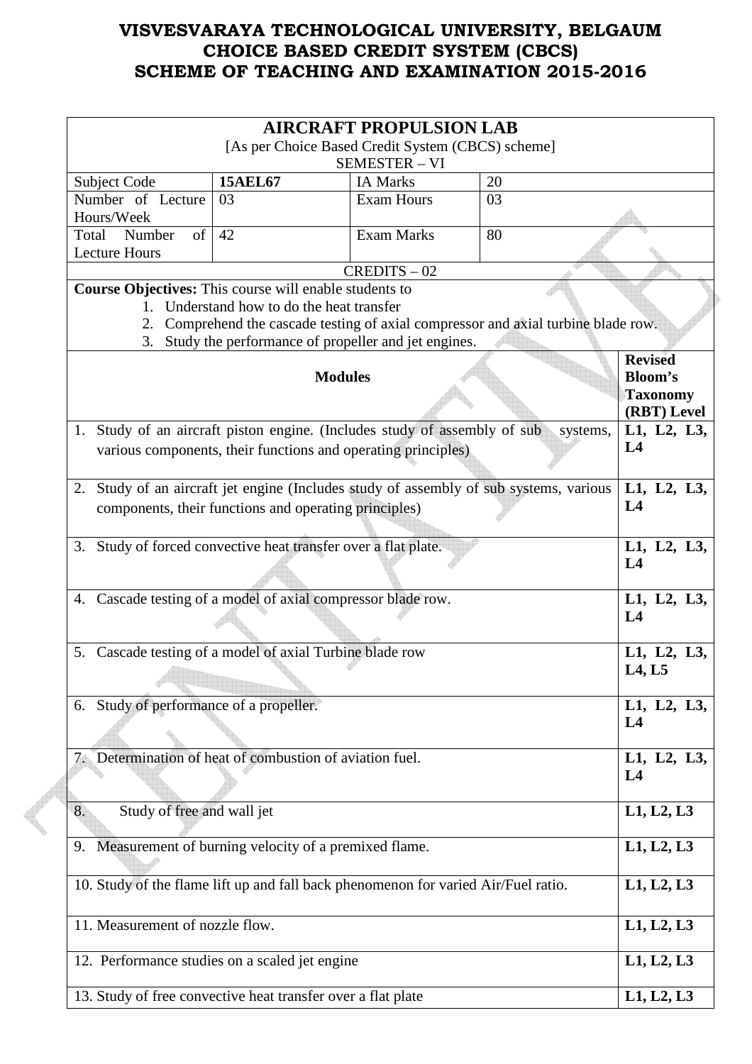| <b>AIRCRAFT PROPULSION LAB</b>                                                     |                                                               |                                         |                                                                                        |                                |
|------------------------------------------------------------------------------------|---------------------------------------------------------------|-----------------------------------------|----------------------------------------------------------------------------------------|--------------------------------|
| [As per Choice Based Credit System (CBCS) scheme]                                  |                                                               |                                         |                                                                                        |                                |
|                                                                                    | <b>15AEL67</b>                                                | <b>SEMESTER - VI</b><br><b>IA Marks</b> | 20                                                                                     |                                |
| Subject Code<br>Number of Lecture                                                  | 03                                                            | <b>Exam Hours</b>                       | 03                                                                                     |                                |
| Hours/Week                                                                         |                                                               |                                         |                                                                                        |                                |
| Number<br>of<br>Total                                                              | 42                                                            | <b>Exam Marks</b>                       | 80                                                                                     |                                |
| <b>Lecture Hours</b>                                                               |                                                               |                                         |                                                                                        |                                |
|                                                                                    |                                                               | $CREDITS - 02$                          |                                                                                        |                                |
| <b>Course Objectives:</b> This course will enable students to                      |                                                               |                                         |                                                                                        |                                |
|                                                                                    | 1. Understand how to do the heat transfer                     |                                         |                                                                                        |                                |
|                                                                                    |                                                               |                                         | 2. Comprehend the cascade testing of axial compressor and axial turbine blade row.     |                                |
|                                                                                    | 3. Study the performance of propeller and jet engines.        |                                         |                                                                                        |                                |
|                                                                                    |                                                               |                                         |                                                                                        | <b>Revised</b>                 |
|                                                                                    | <b>Modules</b>                                                |                                         |                                                                                        | <b>Bloom's</b>                 |
|                                                                                    |                                                               |                                         |                                                                                        | <b>Taxonomy</b><br>(RBT) Level |
| 1. Study of an aircraft piston engine. (Includes study of assembly of sub          |                                                               |                                         |                                                                                        | L1, L2, L3,                    |
|                                                                                    |                                                               |                                         | systems,                                                                               | L4                             |
|                                                                                    | various components, their functions and operating principles) |                                         |                                                                                        |                                |
|                                                                                    |                                                               |                                         |                                                                                        |                                |
|                                                                                    |                                                               |                                         | 2. Study of an aircraft jet engine (Includes study of assembly of sub systems, various | L1, L2, L3,                    |
|                                                                                    | components, their functions and operating principles)         |                                         |                                                                                        | L4                             |
|                                                                                    |                                                               |                                         |                                                                                        |                                |
| 3. Study of forced convective heat transfer over a flat plate.                     |                                                               |                                         |                                                                                        | L1, L2, L3,                    |
|                                                                                    |                                                               |                                         |                                                                                        | L4                             |
|                                                                                    |                                                               |                                         |                                                                                        |                                |
| 4. Cascade testing of a model of axial compressor blade row.                       |                                                               |                                         | L1, L2, L3,<br>L4                                                                      |                                |
|                                                                                    |                                                               |                                         |                                                                                        |                                |
| Cascade testing of a model of axial Turbine blade row<br>5.                        |                                                               |                                         | L1, L2, L3,                                                                            |                                |
|                                                                                    |                                                               |                                         | L4, L5                                                                                 |                                |
|                                                                                    |                                                               |                                         |                                                                                        |                                |
| Study of performance of a propeller.<br>6.                                         |                                                               |                                         | L1, L2, L3,                                                                            |                                |
|                                                                                    |                                                               |                                         | L <sub>4</sub>                                                                         |                                |
|                                                                                    |                                                               |                                         |                                                                                        |                                |
|                                                                                    | Determination of heat of combustion of aviation fuel.         |                                         |                                                                                        | L1, L2, L3,                    |
|                                                                                    |                                                               |                                         |                                                                                        | L <sub>4</sub>                 |
|                                                                                    |                                                               |                                         |                                                                                        |                                |
| Study of free and wall jet<br>8.                                                   |                                                               |                                         |                                                                                        | L1, L2, L3                     |
|                                                                                    |                                                               |                                         |                                                                                        |                                |
| 9.                                                                                 | Measurement of burning velocity of a premixed flame.          |                                         |                                                                                        | L1, L2, L3                     |
|                                                                                    |                                                               |                                         |                                                                                        |                                |
| 10. Study of the flame lift up and fall back phenomenon for varied Air/Fuel ratio. |                                                               |                                         | L1, L2, L3                                                                             |                                |
|                                                                                    |                                                               |                                         |                                                                                        |                                |
| 11. Measurement of nozzle flow.                                                    |                                                               |                                         | L1, L2, L3                                                                             |                                |
|                                                                                    |                                                               |                                         |                                                                                        |                                |
| 12. Performance studies on a scaled jet engine                                     |                                                               |                                         |                                                                                        | L1, L2, L3                     |
|                                                                                    |                                                               |                                         |                                                                                        |                                |
| 13. Study of free convective heat transfer over a flat plate                       |                                                               |                                         |                                                                                        | L1, L2, L3                     |

 $\epsilon$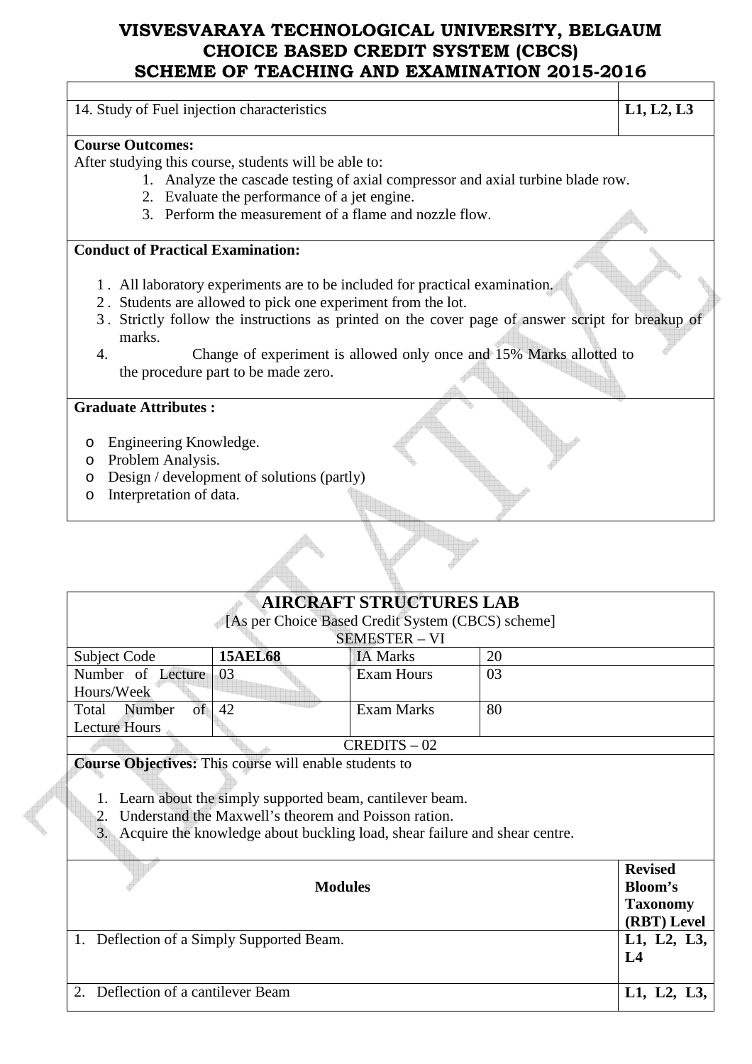| 14. Study of Fuel injection characteristics                                                      | L1, L2, L3 |
|--------------------------------------------------------------------------------------------------|------------|
| <b>Course Outcomes:</b>                                                                          |            |
|                                                                                                  |            |
| After studying this course, students will be able to:                                            |            |
| 1. Analyze the cascade testing of axial compressor and axial turbine blade row.                  |            |
| 2. Evaluate the performance of a jet engine.                                                     |            |
| 3. Perform the measurement of a flame and nozzle flow.                                           |            |
|                                                                                                  |            |
| <b>Conduct of Practical Examination:</b>                                                         |            |
|                                                                                                  |            |
| 1. All laboratory experiments are to be included for practical examination.                      |            |
| 2. Students are allowed to pick one experiment from the lot.                                     |            |
| 3. Strictly follow the instructions as printed on the cover page of answer script for breakup of |            |
| marks.                                                                                           |            |
| $\overline{4}$ .                                                                                 |            |
| Change of experiment is allowed only once and 15% Marks allotted to                              |            |
| the procedure part to be made zero.                                                              |            |
| <b>Graduate Attributes:</b>                                                                      |            |
|                                                                                                  |            |
| Engineering Knowledge.<br>$\circ$                                                                |            |
| Problem Analysis.<br>$\circ$                                                                     |            |
| Design / development of solutions (partly)<br>$\circ$                                            |            |
| Interpretation of data.                                                                          |            |
| $\circ$                                                                                          |            |

# **AIRCRAFT STRUCTURES LAB**

|  | [As per Choice Based Credit System (CBCS) scheme] |
|--|---------------------------------------------------|
|  |                                                   |

| <b>SEMESTER - VI</b> |                |                 |    |
|----------------------|----------------|-----------------|----|
| Subject Code         | <b>15AEL68</b> | <b>IA Marks</b> | 20 |
| Number of Lecture 03 |                | Exam Hours      | 03 |
| Hours/Week           |                |                 |    |
| Total<br>Number      | 42             | Exam Marks      | 80 |
| <b>Lecture Hours</b> |                |                 |    |
|                      |                | $CREDITS - 02$  |    |

**Course Objectives:** This course will enable students to

- 1. Learn about the simply supported beam, cantilever beam.
- 2. Understand the Maxwell's theorem and Poisson ration.
- 3. Acquire the knowledge about buckling load, shear failure and shear centre.

|                                           | <b>Revised</b>  |
|-------------------------------------------|-----------------|
| <b>Modules</b>                            | <b>Bloom's</b>  |
|                                           | <b>Taxonomy</b> |
|                                           | (RBT) Level     |
| 1. Deflection of a Simply Supported Beam. | L1, L2, L3,     |
|                                           | L <sub>4</sub>  |
|                                           |                 |
| 2. Deflection of a cantilever Beam        | L1, L2, L3,     |
|                                           |                 |